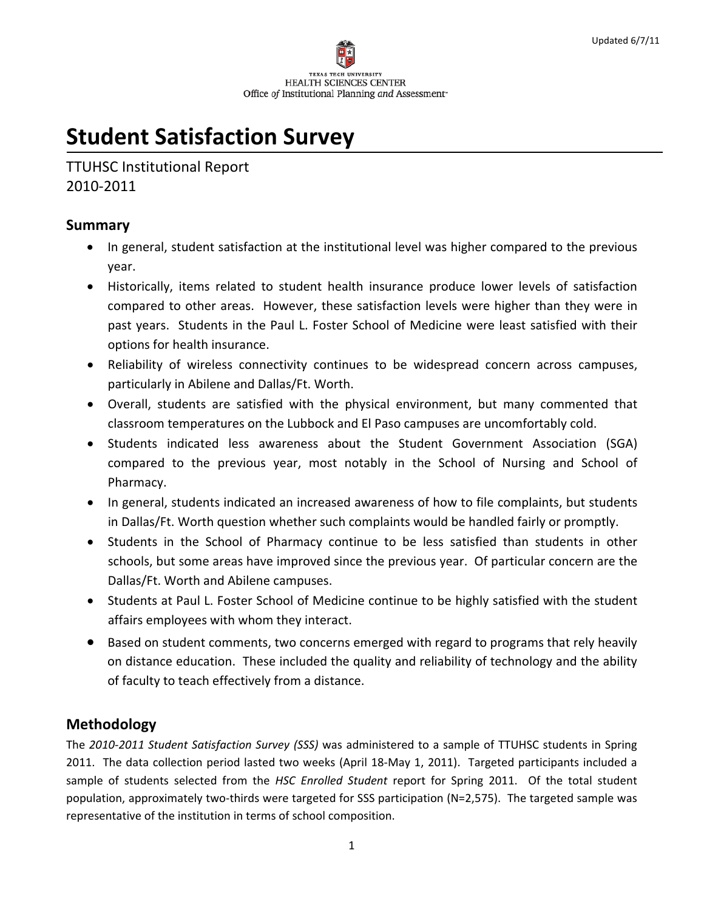

# **Student Satisfaction Survey**

TTUHSC Institutional Report 2010‐2011

## **Summary**

- In general, student satisfaction at the institutional level was higher compared to the previous year.
- Historically, items related to student health insurance produce lower levels of satisfaction compared to other areas. However, these satisfaction levels were higher than they were in past years. Students in the Paul L. Foster School of Medicine were least satisfied with their options for health insurance.
- Reliability of wireless connectivity continues to be widespread concern across campuses, particularly in Abilene and Dallas/Ft. Worth.
- Overall, students are satisfied with the physical environment, but many commented that classroom temperatures on the Lubbock and El Paso campuses are uncomfortably cold.
- Students indicated less awareness about the Student Government Association (SGA) compared to the previous year, most notably in the School of Nursing and School of Pharmacy.
- In general, students indicated an increased awareness of how to file complaints, but students in Dallas/Ft. Worth question whether such complaints would be handled fairly or promptly.
- Students in the School of Pharmacy continue to be less satisfied than students in other schools, but some areas have improved since the previous year. Of particular concern are the Dallas/Ft. Worth and Abilene campuses.
- Students at Paul L. Foster School of Medicine continue to be highly satisfied with the student affairs employees with whom they interact.
- Based on student comments, two concerns emerged with regard to programs that rely heavily on distance education. These included the quality and reliability of technology and the ability of faculty to teach effectively from a distance.

# **Methodology**

The *2010‐2011 Student Satisfaction Survey (SSS)* was administered to a sample of TTUHSC students in Spring 2011. The data collection period lasted two weeks (April 18‐May 1, 2011). Targeted participants included a sample of students selected from the *HSC Enrolled Student* report for Spring 2011. Of the total student population, approximately two‐thirds were targeted for SSS participation (N=2,575). The targeted sample was representative of the institution in terms of school composition.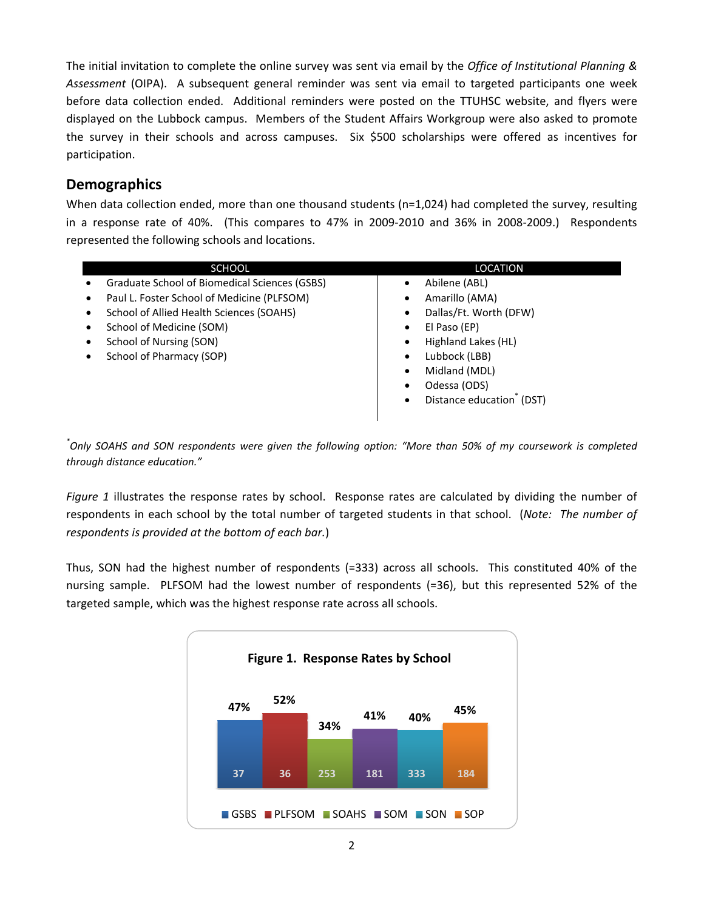The initial invitation to complete the online survey was sent via email by the *Office of Institutional Planning & Assessment* (OIPA). A subsequent general reminder was sent via email to targeted participants one week before data collection ended. Additional reminders were posted on the TTUHSC website, and flyers were displayed on the Lubbock campus. Members of the Student Affairs Workgroup were also asked to promote the survey in their schools and across campuses. Six \$500 scholarships were offered as incentives for participation.

## **Demographics**

When data collection ended, more than one thousand students (n=1,024) had completed the survey, resulting in a response rate of 40%. (This compares to 47% in 2009-2010 and 36% in 2008-2009.) Respondents represented the following schools and locations.

| <b>SCHOOL</b>                                           | LOCATION                         |
|---------------------------------------------------------|----------------------------------|
| Graduate School of Biomedical Sciences (GSBS)           | Abilene (ABL)<br>$\bullet$       |
| Paul L. Foster School of Medicine (PLFSOM)<br>$\bullet$ | Amarillo (AMA)<br>٠              |
| School of Allied Health Sciences (SOAHS)<br>٠           | Dallas/Ft. Worth (DFW)<br>٠      |
| School of Medicine (SOM)<br>٠                           | El Paso (EP)<br>$\bullet$        |
| School of Nursing (SON)<br>٠                            | Highland Lakes (HL)<br>$\bullet$ |
| School of Pharmacy (SOP)<br>٠                           | Lubbock (LBB)<br>$\bullet$       |
|                                                         | Midland (MDL)<br>$\bullet$       |
|                                                         | Odessa (ODS)<br>٠                |
|                                                         | Distance education (DST)<br>٠    |
|                                                         |                                  |

.<br>"Only SOAHS and SON respondents were given the following option: "More than 50% of my coursework is completed *through distance education."*

*Figure 1* illustrates the response rates by school. Response rates are calculated by dividing the number of respondents in each school by the total number of targeted students in that school. (*Note: The number of respondents is provided at the bottom of each bar.*)

Thus, SON had the highest number of respondents (=333) across all schools. This constituted 40% of the nursing sample. PLFSOM had the lowest number of respondents (=36), but this represented 52% of the targeted sample, which was the highest response rate across all schools.

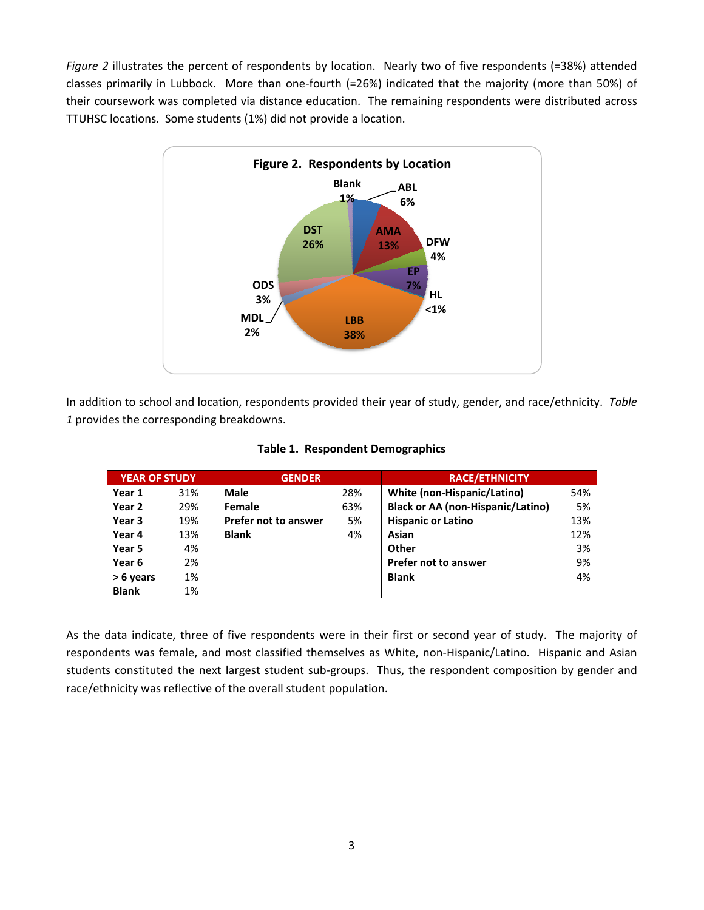*Figure 2* illustrates the percent of respondents by location. Nearly two of five respondents (=38%) attended classes primarily in Lubbock. More than one‐fourth (=26%) indicated that the majority (more than 50%) of their coursework was completed via distance education. The remaining respondents were distributed across TTUHSC locations. Some students (1%) did not provide a location.



In addition to school and location, respondents provided their year of study, gender, and race/ethnicity. *Table 1* provides the corresponding breakdowns.

| <b>YEAR OF STUDY</b> |     | <b>GENDER</b>               |     | <b>RACE/ETHNICITY</b>                    |     |
|----------------------|-----|-----------------------------|-----|------------------------------------------|-----|
| Year 1               | 31% | <b>Male</b>                 | 28% | White (non-Hispanic/Latino)              | 54% |
| Year 2               | 29% | Female                      | 63% | <b>Black or AA (non-Hispanic/Latino)</b> | 5%  |
| Year 3               | 19% | <b>Prefer not to answer</b> | 5%  | <b>Hispanic or Latino</b>                | 13% |
| Year 4               | 13% | <b>Blank</b>                | 4%  | Asian                                    | 12% |
| Year 5               | 4%  |                             |     | Other                                    | 3%  |
| Year 6               | 2%  |                             |     | <b>Prefer not to answer</b>              | 9%  |
| > 6 years            | 1%  |                             |     | <b>Blank</b>                             | 4%  |
| <b>Blank</b>         | 1%  |                             |     |                                          |     |

**Table 1. Respondent Demographics**

As the data indicate, three of five respondents were in their first or second year of study. The majority of respondents was female, and most classified themselves as White, non-Hispanic/Latino. Hispanic and Asian students constituted the next largest student sub‐groups. Thus, the respondent composition by gender and race/ethnicity was reflective of the overall student population.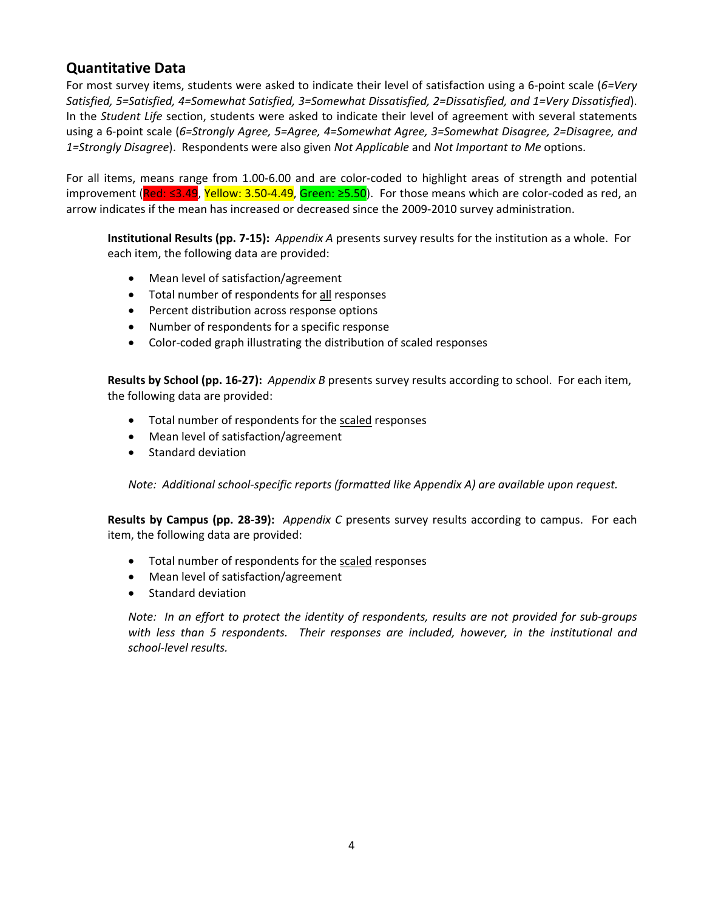# **Quantitative Data**

For most survey items, students were asked to indicate their level of satisfaction using a 6‐point scale (*6=Very Satisfied, 5=Satisfied, 4=Somewhat Satisfied, 3=Somewhat Dissatisfied, 2=Dissatisfied, and 1=Very Dissatisfied*). In the *Student Life* section, students were asked to indicate their level of agreement with several statements using a 6‐point scale (*6=Strongly Agree, 5=Agree, 4=Somewhat Agree, 3=Somewhat Disagree, 2=Disagree, and 1=Strongly Disagree*). Respondents were also given *Not Applicable* and *Not Important to Me* options.

For all items, means range from 1.00‐6.00 and are color‐coded to highlight areas of strength and potential improvement (Red: ≤3.49, Yellow: 3.50‐4.49, Green: ≥5.50). For those means which are color‐coded as red, an arrow indicates if the mean has increased or decreased since the 2009‐2010 survey administration.

**Institutional Results (pp. 7‐15):** *Appendix A* presents survey results for the institution as a whole. For each item, the following data are provided:

- Mean level of satisfaction/agreement
- Total number of respondents for all responses
- Percent distribution across response options
- Number of respondents for a specific response
- Color‐coded graph illustrating the distribution of scaled responses

**Results by School (pp. 16‐27):** *Appendix B* presents survey results according to school. For each item, the following data are provided:

- Total number of respondents for the scaled responses
- Mean level of satisfaction/agreement
- Standard deviation

*Note:**Additional school‐specific reports (formatted like Appendix A) are available upon request.*

**Results by Campus (pp. 28‐39):** *Appendix C* presents survey results according to campus. For each item, the following data are provided:

- Total number of respondents for the scaled responses
- Mean level of satisfaction/agreement
- Standard deviation

Note: In an effort to protect the identity of respondents, results are not provided for sub-groups *with less than 5 respondents. Their responses are included, however, in the institutional and school‐level results.*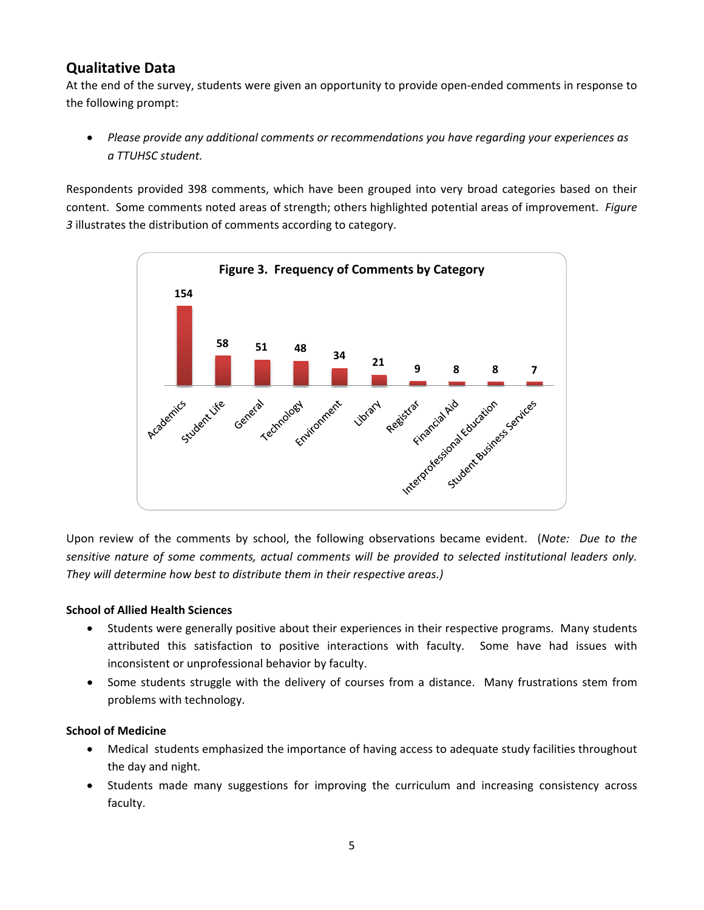# **Qualitative Data**

At the end of the survey, students were given an opportunity to provide open‐ended comments in response to the following prompt:

• *Please provide any additional comments or recommendations you have regarding your experiences as a TTUHSC student.*

Respondents provided 398 comments, which have been grouped into very broad categories based on their content. Some comments noted areas of strength; others highlighted potential areas of improvement. *Figure 3* illustrates the distribution of comments according to category.



Upon review of the comments by school, the following observations became evident. (*Note: Due to the sensitive nature of some comments, actual comments will be provided to selected institutional leaders only. They will determine how best to distribute them in their respective areas.)*

#### **School of Allied Health Sciences**

- Students were generally positive about their experiences in their respective programs. Many students attributed this satisfaction to positive interactions with faculty. Some have had issues with inconsistent or unprofessional behavior by faculty.
- Some students struggle with the delivery of courses from a distance. Many frustrations stem from problems with technology.

#### **School of Medicine**

- Medical students emphasized the importance of having access to adequate study facilities throughout the day and night.
- Students made many suggestions for improving the curriculum and increasing consistency across faculty.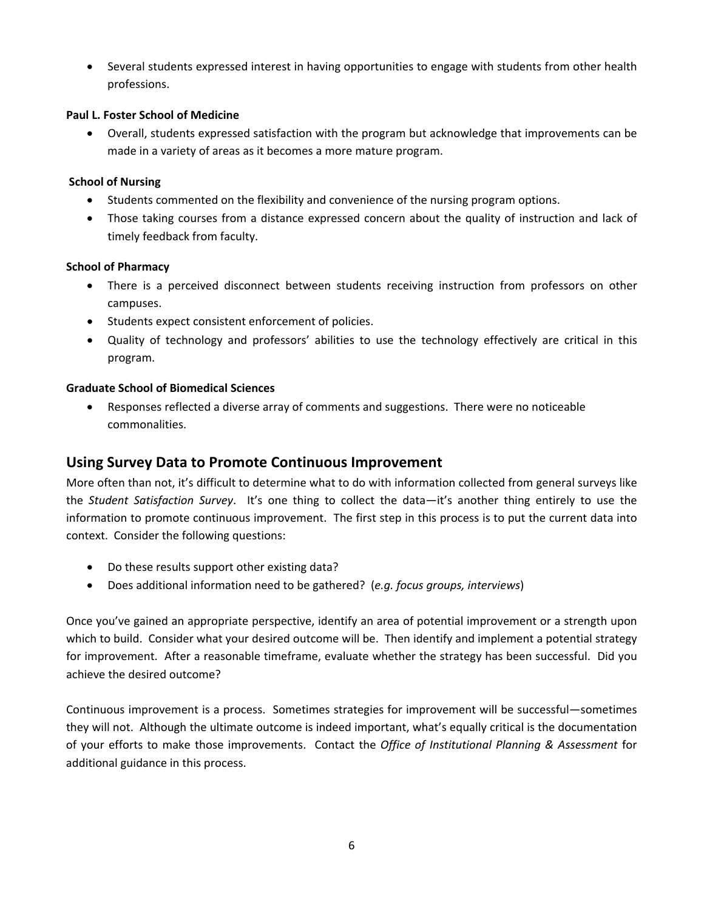• Several students expressed interest in having opportunities to engage with students from other health professions.

#### **Paul L. Foster School of Medicine**

• Overall, students expressed satisfaction with the program but acknowledge that improvements can be made in a variety of areas as it becomes a more mature program.

#### **School of Nursing**

- Students commented on the flexibility and convenience of the nursing program options.
- Those taking courses from a distance expressed concern about the quality of instruction and lack of timely feedback from faculty.

#### **School of Pharmacy**

- There is a perceived disconnect between students receiving instruction from professors on other campuses.
- Students expect consistent enforcement of policies.
- Quality of technology and professors' abilities to use the technology effectively are critical in this program.

#### **Graduate School of Biomedical Sciences**

• Responses reflected a diverse array of comments and suggestions. There were no noticeable commonalities.

## **Using Survey Data to Promote Continuous Improvement**

More often than not, it's difficult to determine what to do with information collected from general surveys like the *Student Satisfaction Survey*. It's one thing to collect the data—it's another thing entirely to use the information to promote continuous improvement. The first step in this process is to put the current data into context. Consider the following questions:

- Do these results support other existing data?
- Does additional information need to be gathered? (*e.g. focus groups, interviews*)

Once you've gained an appropriate perspective, identify an area of potential improvement or a strength upon which to build. Consider what your desired outcome will be. Then identify and implement a potential strategy for improvement. After a reasonable timeframe, evaluate whether the strategy has been successful. Did you achieve the desired outcome?

Continuous improvement is a process. Sometimes strategies for improvement will be successful—sometimes they will not. Although the ultimate outcome is indeed important, what's equally critical is the documentation of your efforts to make those improvements. Contact the *Office of Institutional Planning & Assessment* for additional guidance in this process.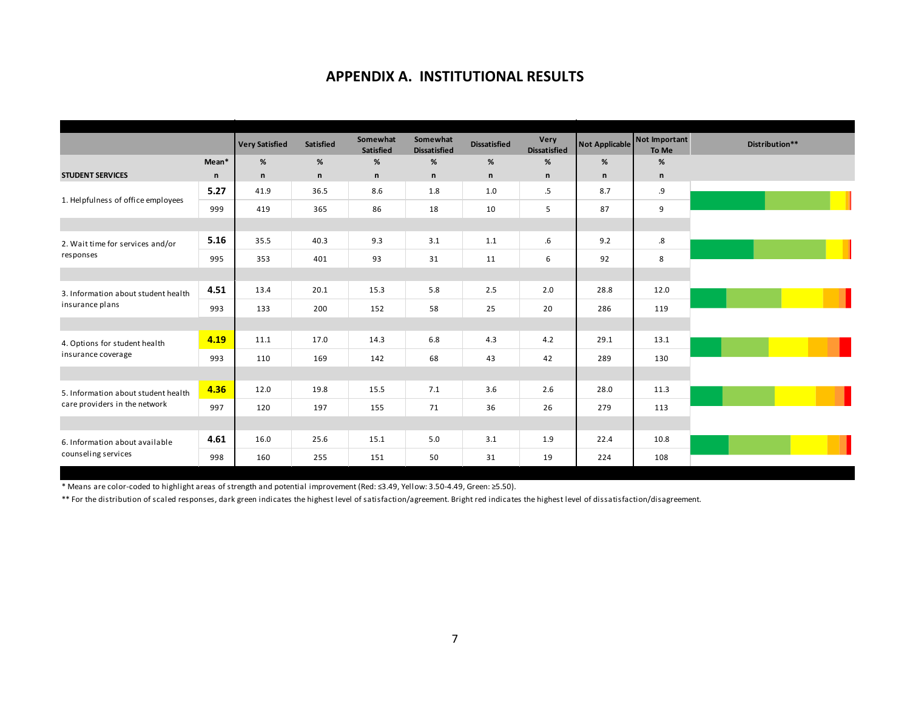## **APPENDIX A. INSTITUTIONAL RESULTS**

|                                                        |              | <b>Very Satisfied</b> | Satisfied    | Somewhat<br>Satisfied | Somewhat<br><b>Dissatisfied</b> | <b>Dissatisfied</b> | Very<br><b>Dissatisfied</b> |              | Not Applicable Not Important<br>To Me |
|--------------------------------------------------------|--------------|-----------------------|--------------|-----------------------|---------------------------------|---------------------|-----------------------------|--------------|---------------------------------------|
|                                                        | Mean*        | %                     | %            | %                     | %                               | %                   | %                           | %            | %                                     |
| <b>STUDENT SERVICES</b>                                | $\mathsf{n}$ | $\mathsf{n}$          | $\mathsf{n}$ | n                     | $\mathsf{n}$                    | $\mathsf{n}$        | n                           | $\mathsf{n}$ | $\mathsf{n}$                          |
|                                                        | 5.27         | 41.9                  | 36.5         | 8.6                   | 1.8                             | 1.0                 | $.5\,$                      | 8.7          | .9                                    |
| 1. Helpfulness of office employees                     | 999          | 419                   | 365          | 86                    | 18                              | 10                  | 5                           | 87           | 9                                     |
|                                                        |              |                       |              |                       |                                 |                     |                             |              |                                       |
| 2. Wait time for services and/or                       | 5.16         | 35.5                  | 40.3         | 9.3                   | 3.1                             | 1.1                 | 6.6                         | 9.2          | $\boldsymbol{.8}$                     |
| responses                                              | 995          | 353                   | 401          | 93                    | 31                              | 11                  | 6                           | 92           | 8                                     |
|                                                        |              |                       |              |                       |                                 |                     |                             |              |                                       |
| 3. Information about student health<br>insurance plans | 4.51         | 13.4                  | 20.1         | 15.3                  | 5.8                             | 2.5                 | 2.0                         | 28.8         | 12.0                                  |
|                                                        | 993          | 133                   | 200          | 152                   | 58                              | 25                  | 20                          | 286          | 119                                   |
|                                                        |              |                       |              |                       |                                 |                     |                             |              |                                       |
| 4. Options for student health                          | 4.19         | 11.1                  | 17.0         | 14.3                  | 6.8                             | 4.3                 | 4.2                         | 29.1         | 13.1                                  |
| insurance coverage                                     | 993          | 110                   | 169          | 142                   | 68                              | 43                  | 42                          | 289          | 130                                   |
|                                                        |              |                       |              |                       |                                 |                     |                             |              |                                       |
| 5. Information about student health                    | 4.36         | 12.0                  | 19.8         | 15.5                  | 7.1                             | 3.6                 | 2.6                         | 28.0         | 11.3                                  |
| care providers in the network                          | 997          | 120                   | 197          | 155                   | 71                              | 36                  | 26                          | 279          | 113                                   |
|                                                        |              |                       |              |                       |                                 |                     |                             |              |                                       |
| 6. Information about available<br>counseling services  | 4.61         | 16.0                  | 25.6         | 15.1                  | 5.0                             | 3.1                 | 1.9                         | 22.4         | 10.8                                  |
|                                                        | 998          | 160                   | 255          | 151                   | 50                              | 31                  | 19                          | 224          | 108                                   |

\* Means are color‐coded to highlight areas of strength and potential improvement (Red: ≤3.49, Yellow: 3.50‐4.49, Green: ≥5.50).

\*\* For the distribution of scaled responses, dark green indicates the highest level of satisfaction/agreement. Bright red indicates the highest level of dissatisfaction/disagreement.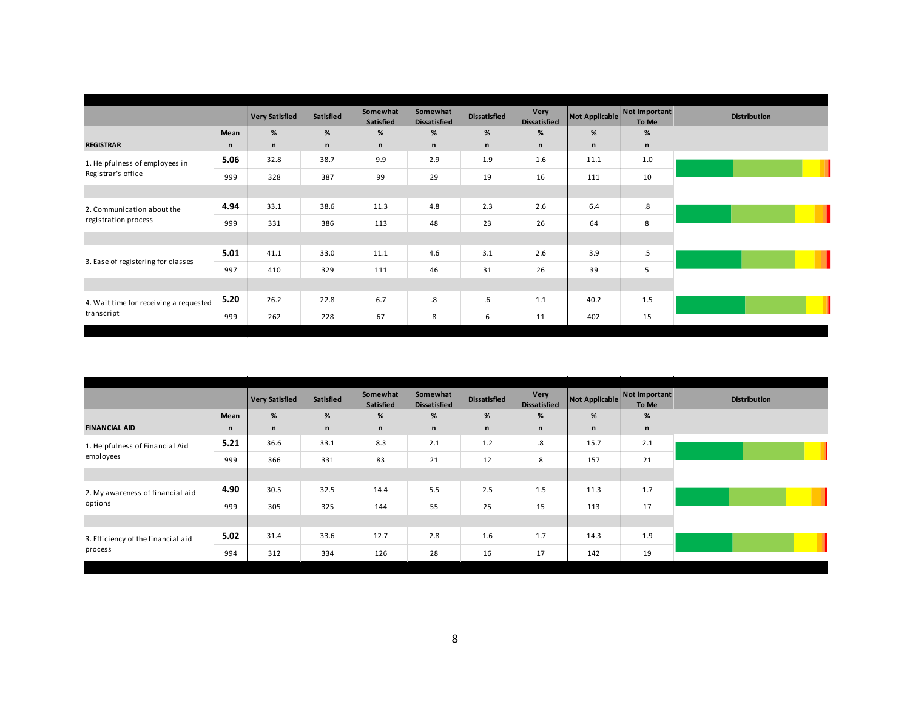|                                                      |      | <b>Very Satisfied</b> | <b>Satisfied</b> | Somewhat<br>Satisfied | Somewhat<br><b>Dissatisfied</b> | <b>Dissatisfied</b> | Very<br><b>Dissatisfied</b> | Not Applicable | Not Important<br>To Me | <b>Distribution</b> |
|------------------------------------------------------|------|-----------------------|------------------|-----------------------|---------------------------------|---------------------|-----------------------------|----------------|------------------------|---------------------|
|                                                      | Mean | %                     | %                | %                     | %                               | %                   | %                           | %              | $\%$                   |                     |
| <b>REGISTRAR</b>                                     | n    | $\mathsf{n}$          | $\mathsf{n}$     | n                     | $\mathsf{n}$                    | n                   | n                           | n              | $\mathsf{n}$           |                     |
| 1. Helpfulness of employees in                       | 5.06 | 32.8                  | 38.7             | 9.9                   | 2.9                             | 1.9                 | 1.6                         | 11.1           | 1.0                    |                     |
| Registrar's office                                   | 999  | 328                   | 387              | 99                    | 29                              | 19                  | 16                          | 111            | 10                     |                     |
|                                                      |      |                       |                  |                       |                                 |                     |                             |                |                        |                     |
| 2. Communication about the<br>registration process   | 4.94 | 33.1                  | 38.6             | 11.3                  | 4.8                             | 2.3                 | 2.6                         | 6.4            | $_{\rm .8}$            |                     |
|                                                      | 999  | 331                   | 386              | 113                   | 48                              | 23                  | 26                          | 64             | 8                      |                     |
|                                                      |      |                       |                  |                       |                                 |                     |                             |                |                        |                     |
|                                                      | 5.01 | 41.1                  | 33.0             | 11.1                  | 4.6                             | 3.1                 | 2.6                         | 3.9            | $.5\,$                 |                     |
| 3. Ease of registering for classes                   | 997  | 410                   | 329              | 111                   | 46                              | 31                  | 26                          | 39             | 5                      |                     |
|                                                      |      |                       |                  |                       |                                 |                     |                             |                |                        |                     |
| 4. Wait time for receiving a requested<br>transcript | 5.20 | 26.2                  | 22.8             | 6.7                   | $\boldsymbol{.8}$               | ${\bf .6}$          | 1.1                         | 40.2           | 1.5                    |                     |
|                                                      | 999  | 262                   | 228              | 67                    | 8                               | 6                   | 11                          | 402            | 15                     |                     |
|                                                      |      |                       |                  |                       |                                 |                     |                             |                |                        |                     |

|                                               |              | <b>Very Satisfied</b> | Satisfied    | Somewhat<br>Satisfied | Somewhat<br><b>Dissatisfied</b> | <b>Dissatisfied</b> | Very<br><b>Dissatisfied</b> |      | Not Applicable Not Important<br>To Me | <b>Distribution</b> |
|-----------------------------------------------|--------------|-----------------------|--------------|-----------------------|---------------------------------|---------------------|-----------------------------|------|---------------------------------------|---------------------|
|                                               | Mean         | %                     | $\%$         | %                     | $\%$                            | $\%$                | %                           | %    | $\%$                                  |                     |
| <b>FINANCIAL AID</b>                          | $\mathsf{n}$ | n                     | $\mathsf{n}$ | n                     | $\mathsf{n}$                    | n                   | n                           | n    | n                                     |                     |
| 1. Helpfulness of Financial Aid               | 5.21         | 36.6                  | 33.1         | 8.3                   | 2.1                             | 1.2                 | .8                          | 15.7 | 2.1                                   |                     |
| employees                                     | 999          | 366                   | 331          | 83                    | 21                              | 12                  | 8                           | 157  | 21                                    |                     |
|                                               |              |                       |              |                       |                                 |                     |                             |      |                                       |                     |
| 2. My awareness of financial aid              | 4.90         | 30.5                  | 32.5         | 14.4                  | 5.5                             | 2.5                 | 1.5                         | 11.3 | 1.7                                   |                     |
| options                                       | 999          | 305                   | 325          | 144                   | 55                              | 25                  | 15                          | 113  | 17                                    |                     |
|                                               |              |                       |              |                       |                                 |                     |                             |      |                                       |                     |
| 3. Efficiency of the financial aid<br>process | 5.02         | 31.4                  | 33.6         | 12.7                  | 2.8                             | 1.6                 | 1.7                         | 14.3 | 1.9                                   |                     |
|                                               | 994          | 312                   | 334          | 126                   | 28                              | 16                  | 17                          | 142  | 19                                    |                     |
|                                               |              |                       |              |                       |                                 |                     |                             |      |                                       |                     |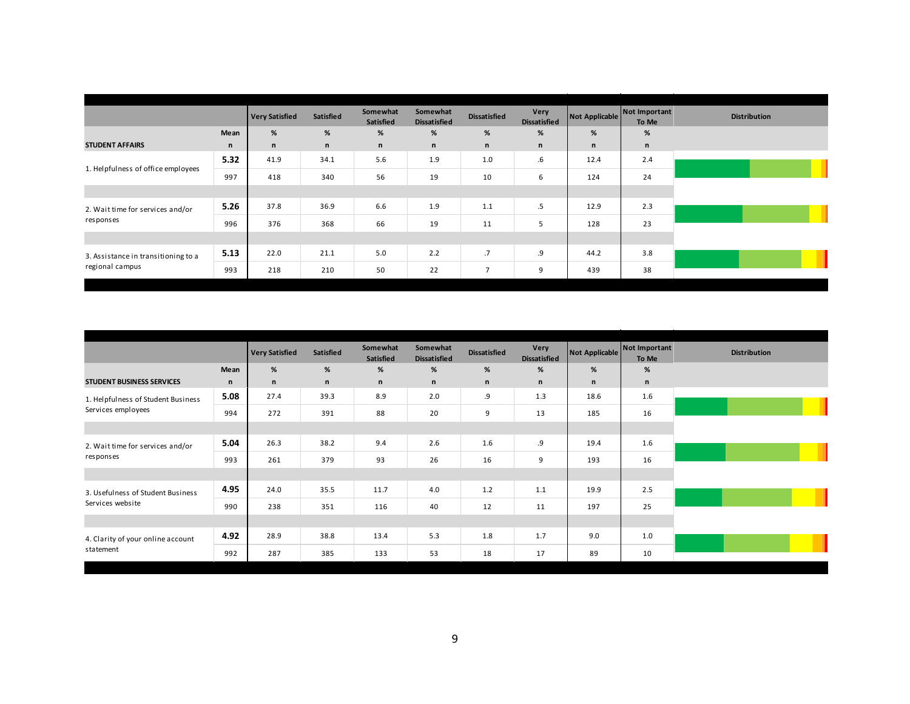|                                     |              | <b>Very Satisfied</b> | <b>Satisfied</b> | Somewhat<br>Satisfied | Somewhat<br><b>Dissatisfied</b> | <b>Dissatisfied</b> | Very<br><b>Dissatisfied</b> |      | Not Applicable Not Important<br>To Me |
|-------------------------------------|--------------|-----------------------|------------------|-----------------------|---------------------------------|---------------------|-----------------------------|------|---------------------------------------|
|                                     | Mean         | %                     | $\%$             | %                     | %                               | %                   | %                           | %    | $\%$                                  |
| <b>STUDENT AFFAIRS</b>              | $\mathsf{n}$ | n                     | $\mathsf{n}$     | n                     | $\mathsf{n}$                    | $\mathsf{n}$        | n                           | n    | $\mathsf{n}$                          |
|                                     | 5.32         | 41.9                  | 34.1             | 5.6                   | 1.9                             | 1.0                 | $.6\,$                      | 12.4 | 2.4                                   |
| 1. Helpfulness of office employees  | 997          | 418                   | 340              | 56                    | 19                              | 10                  | 6                           | 124  | 24                                    |
|                                     |              |                       |                  |                       |                                 |                     |                             |      |                                       |
| 2. Wait time for services and/or    | 5.26         | 37.8                  | 36.9             | 6.6                   | 1.9                             | 1.1                 | .5                          | 12.9 | 2.3                                   |
| responses                           | 996          | 376                   | 368              | 66                    | 19                              | 11                  | 5                           | 128  | 23                                    |
|                                     |              |                       |                  |                       |                                 |                     |                             |      |                                       |
| 3. Assistance in transitioning to a | 5.13         | 22.0                  | 21.1             | 5.0                   | 2.2                             | .7                  | .9                          | 44.2 | 3.8                                   |
| regional campus                     | 993          | 218                   | 210              | 50                    | 22                              | $\overline{7}$      | 9                           | 439  | 38                                    |

|                                               |              | <b>Very Satisfied</b> | <b>Satisfied</b> | Somewhat<br>Satisfied | Somewhat<br><b>Dissatisfied</b> | <b>Dissatisfied</b> | Very<br><b>Dissatisfied</b> |      | Not Applicable Not Important<br>To Me | <b>Distribution</b> |
|-----------------------------------------------|--------------|-----------------------|------------------|-----------------------|---------------------------------|---------------------|-----------------------------|------|---------------------------------------|---------------------|
|                                               | Mean         | %                     | %                | %                     | %                               | %                   | %                           | %    | %                                     |                     |
| <b>STUDENT BUSINESS SERVICES</b>              | $\mathsf{n}$ | n                     | $\mathsf{n}$     | n                     | $\mathsf{n}$                    | $\mathsf{n}$        | n                           | n    | $\mathsf{n}$                          |                     |
| 1. Helpfulness of Student Business            | 5.08         | 27.4                  | 39.3             | 8.9                   | 2.0                             | .9                  | 1.3                         | 18.6 | 1.6                                   |                     |
| Services employees                            | 994          | 272                   | 391              | 88                    | 20                              | 9                   | 13                          | 185  | 16                                    |                     |
|                                               |              |                       |                  |                       |                                 |                     |                             |      |                                       |                     |
| 2. Wait time for services and/or<br>responses | 5.04         | 26.3                  | 38.2             | 9.4                   | 2.6                             | 1.6                 | .9                          | 19.4 | 1.6                                   |                     |
|                                               | 993          | 261                   | 379              | 93                    | 26                              | 16                  | 9                           | 193  | 16                                    |                     |
|                                               |              |                       |                  |                       |                                 |                     |                             |      |                                       |                     |
| 3. Usefulness of Student Business             | 4.95         | 24.0                  | 35.5             | 11.7                  | 4.0                             | 1.2                 | 1.1                         | 19.9 | 2.5                                   |                     |
| Services website                              | 990          | 238                   | 351              | 116                   | 40                              | 12                  | 11                          | 197  | 25                                    |                     |
|                                               |              |                       |                  |                       |                                 |                     |                             |      |                                       |                     |
| 4. Clarity of your online account             | 4.92         | 28.9                  | 38.8             | 13.4                  | 5.3                             | 1.8                 | 1.7                         | 9.0  | 1.0                                   |                     |
| statement                                     | 992          | 287                   | 385              | 133                   | 53                              | 18                  | 17                          | 89   | 10                                    |                     |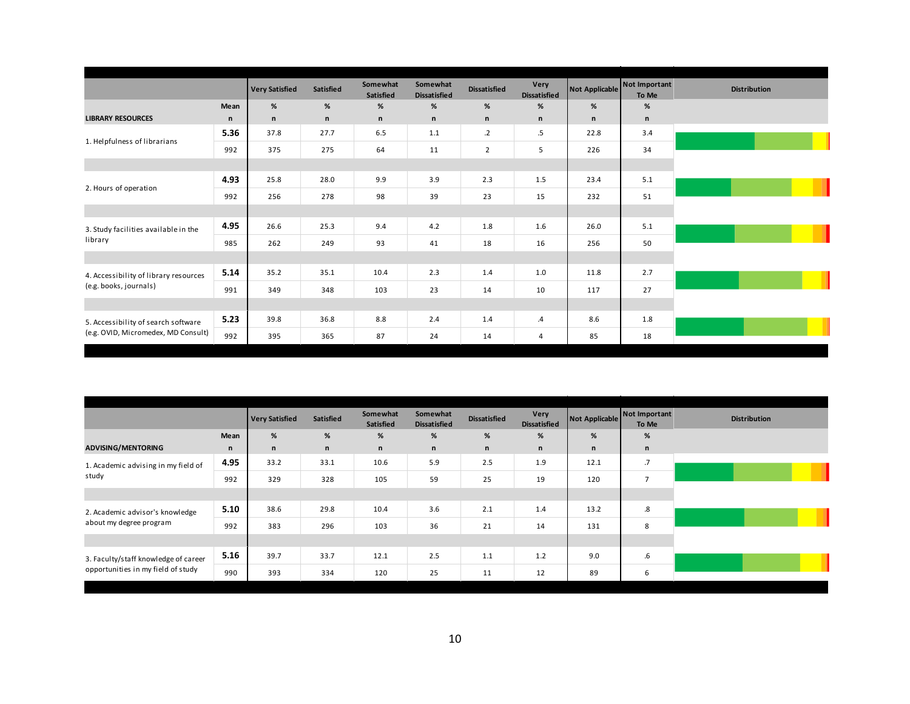|                                                                            |              | <b>Very Satisfied</b> | Satisfied    | Somewhat<br>Satisfied | Somewhat<br><b>Dissatisfied</b> | <b>Dissatisfied</b> | Very<br><b>Dissatisfied</b> | <b>Not Applicable</b> | Not Important<br>To Me | <b>Distribution</b> |
|----------------------------------------------------------------------------|--------------|-----------------------|--------------|-----------------------|---------------------------------|---------------------|-----------------------------|-----------------------|------------------------|---------------------|
|                                                                            | Mean         | %                     | %            | %                     | %                               | %                   | %                           | %                     | %                      |                     |
| <b>LIBRARY RESOURCES</b>                                                   | $\mathsf{n}$ | $\mathsf{n}$          | $\mathsf{n}$ | n                     | $\mathsf{n}$                    | $\mathsf{n}$        | n                           | n                     | $\mathsf n$            |                     |
| 1. Helpfulness of librarians                                               | 5.36         | 37.8                  | 27.7         | 6.5                   | 1.1                             | $\cdot$ .2          | $.5\,$                      | 22.8                  | 3.4                    |                     |
|                                                                            | 992          | 375                   | 275          | 64                    | 11                              | $\overline{2}$      | 5                           | 226                   | 34                     |                     |
|                                                                            |              |                       |              |                       |                                 |                     |                             |                       |                        |                     |
|                                                                            | 4.93         | 25.8                  | 28.0         | 9.9                   | 3.9                             | 2.3                 | 1.5                         | 23.4                  | 5.1                    |                     |
| 2. Hours of operation                                                      | 992          | 256                   | 278          | 98                    | 39                              | 23                  | 15                          | 232                   | 51                     |                     |
|                                                                            |              |                       |              |                       |                                 |                     |                             |                       |                        |                     |
| 3. Study facilities available in the                                       | 4.95         | 26.6                  | 25.3         | 9.4                   | 4.2                             | 1.8                 | 1.6                         | 26.0                  | 5.1                    |                     |
| library                                                                    | 985          | 262                   | 249          | 93                    | 41                              | 18                  | 16                          | 256                   | 50                     |                     |
|                                                                            |              |                       |              |                       |                                 |                     |                             |                       |                        |                     |
| 4. Accessibility of library resources                                      | 5.14         | 35.2                  | 35.1         | 10.4                  | 2.3                             | 1.4                 | 1.0                         | 11.8                  | 2.7                    |                     |
| (e.g. books, journals)                                                     | 991          | 349                   | 348          | 103                   | 23                              | 14                  | 10                          | 117                   | 27                     |                     |
|                                                                            |              |                       |              |                       |                                 |                     |                             |                       |                        |                     |
| 5. Accessibility of search software<br>(e.g. OVID, Micromedex, MD Consult) | 5.23         | 39.8                  | 36.8         | 8.8                   | 2.4                             | 1.4                 | $\cdot$                     | 8.6                   | 1.8                    |                     |
|                                                                            | 992          | 395                   | 365          | 87                    | 24                              | 14                  | 4                           | 85                    | 18                     |                     |

|                                                                            |              | <b>Very Satisfied</b> | Satisfied | Somewhat<br>Satisfied | Somewhat<br><b>Dissatisfied</b> | <b>Dissatisfied</b> | Very<br><b>Dissatisfied</b> |      | Not Applicable Not Important<br>To Me | <b>Distribution</b> |
|----------------------------------------------------------------------------|--------------|-----------------------|-----------|-----------------------|---------------------------------|---------------------|-----------------------------|------|---------------------------------------|---------------------|
|                                                                            | Mean         | %                     | %         | %                     | %                               | $\%$                | %                           | %    | $\%$                                  |                     |
| <b>ADVISING/MENTORING</b>                                                  | $\mathsf{n}$ | n                     | n         | n                     | $\mathsf{n}$                    | n                   | n                           | n    | n                                     |                     |
| 1. Academic advising in my field of                                        | 4.95         | 33.2                  | 33.1      | 10.6                  | 5.9                             | 2.5                 | 1.9                         | 12.1 | .7                                    |                     |
| study                                                                      | 992          | 329                   | 328       | 105                   | 59                              | 25                  | 19                          | 120  | $\overline{7}$                        |                     |
|                                                                            |              |                       |           |                       |                                 |                     |                             |      |                                       |                     |
| 2. Academic advisor's knowledge                                            | 5.10         | 38.6                  | 29.8      | 10.4                  | 3.6                             | 2.1                 | 1.4                         | 13.2 | .8                                    |                     |
| about my degree program                                                    | 992          | 383                   | 296       | 103                   | 36                              | 21                  | 14                          | 131  | 8                                     |                     |
|                                                                            |              |                       |           |                       |                                 |                     |                             |      |                                       |                     |
| 3. Faculty/staff knowledge of career<br>opportunities in my field of study | 5.16         | 39.7                  | 33.7      | 12.1                  | 2.5                             | 1.1                 | 1.2                         | 9.0  | $.6\,$                                |                     |
|                                                                            | 990          | 393                   | 334       | 120                   | 25                              | 11                  | 12                          | 89   | 6                                     |                     |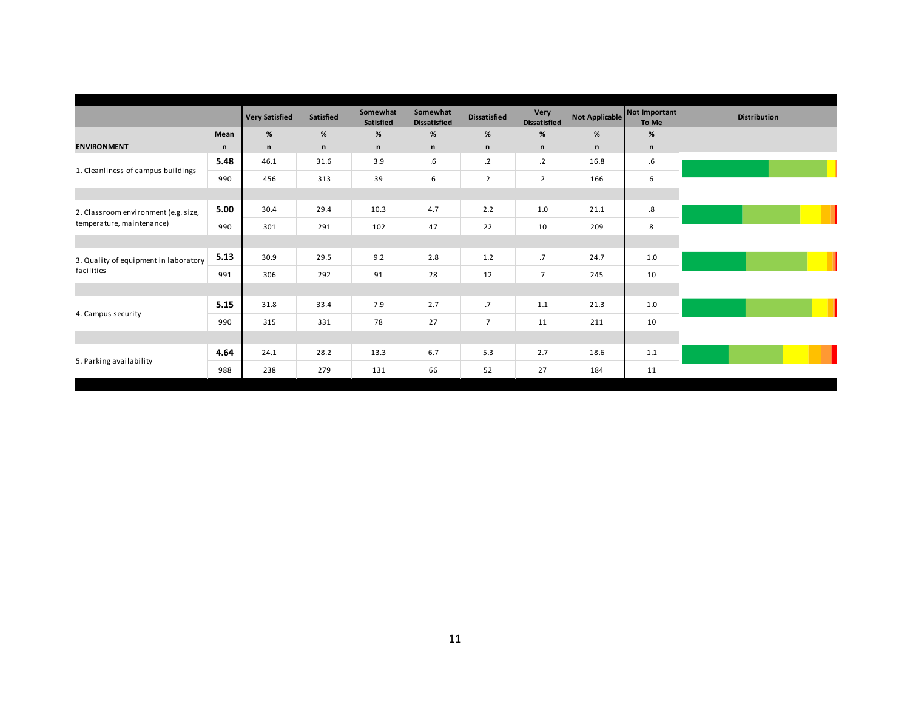|      | <b>Very Satisfied</b> | <b>Satisfied</b> | Somewhat<br>Satisfied | Somewhat<br><b>Dissatisfied</b> | <b>Dissatisfied</b> | Very<br><b>Dissatisfied</b> |              | To Me        | <b>Distribution</b>             |
|------|-----------------------|------------------|-----------------------|---------------------------------|---------------------|-----------------------------|--------------|--------------|---------------------------------|
| Mean | %                     | %                | %                     | %                               | %                   | $\%$                        | $\%$         | %            |                                 |
| n    | $\mathsf n$           | $\mathsf{n}$     | n                     | $\mathsf{n}$                    | $\mathsf n$         | $\mathsf{n}$                | $\mathsf{n}$ | $\mathsf{n}$ |                                 |
| 5.48 | 46.1                  | 31.6             | 3.9                   | $.6\,$                          | $\cdot$             | $\cdot$ .2                  | 16.8         | $.6\,$       |                                 |
| 990  | 456                   | 313              | 39                    | 6                               | $\overline{2}$      | $\overline{2}$              | 166          | 6            |                                 |
|      |                       |                  |                       |                                 |                     |                             |              |              |                                 |
| 5.00 | 30.4                  | 29.4             | 10.3                  | 4.7                             | 2.2                 | 1.0                         | 21.1         | .8           |                                 |
| 990  | 301                   | 291              | 102                   | 47                              | 22                  | 10                          | 209          | 8            |                                 |
|      |                       |                  |                       |                                 |                     |                             |              |              |                                 |
| 5.13 | 30.9                  | 29.5             | 9.2                   | 2.8                             | 1.2                 | .7                          | 24.7         | $1.0$        |                                 |
| 991  | 306                   | 292              | 91                    | 28                              | 12                  | $\overline{7}$              | 245          | 10           |                                 |
|      |                       |                  |                       |                                 |                     |                             |              |              |                                 |
| 5.15 | 31.8                  | 33.4             | 7.9                   | 2.7                             | .7                  | 1.1                         | 21.3         | 1.0          |                                 |
| 990  | 315                   | 331              | 78                    | 27                              | $\overline{7}$      | 11                          | 211          | 10           |                                 |
|      |                       |                  |                       |                                 |                     |                             |              |              |                                 |
| 4.64 | 24.1                  | 28.2             | 13.3                  | 6.7                             | 5.3                 | 2.7                         | 18.6         | 1.1          |                                 |
| 988  | 238                   | 279              | 131                   | 66                              | 52                  | 27                          | 184          | 11           |                                 |
|      |                       |                  |                       |                                 |                     |                             |              |              | Not Important<br>Not Applicable |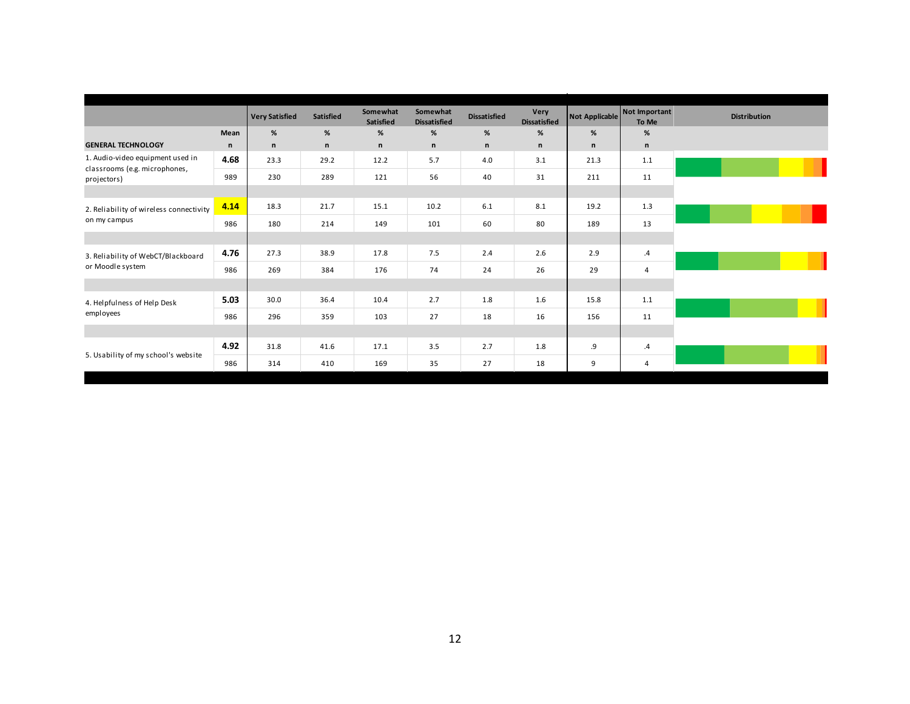|                                                                   |              | <b>Very Satisfied</b> | <b>Satisfied</b> | Somewhat<br>Satisfied | Somewhat<br><b>Dissatisfied</b> | <b>Dissatisfied</b> | Very<br><b>Dissatisfied</b> |              | Not Applicable Not Important<br>To Me | <b>Distribution</b> |
|-------------------------------------------------------------------|--------------|-----------------------|------------------|-----------------------|---------------------------------|---------------------|-----------------------------|--------------|---------------------------------------|---------------------|
|                                                                   | Mean         | %                     | %                | %                     | %                               | %                   | %                           | %            | %                                     |                     |
| <b>GENERAL TECHNOLOGY</b>                                         | $\mathsf{n}$ | n                     | $\mathsf n$      | n                     | $\mathsf{n}$                    | $\mathsf{n}$        | n                           | $\mathsf{n}$ | n                                     |                     |
| 1. Audio-video equipment used in<br>classrooms (e.g. microphones, | 4.68         | 23.3                  | 29.2             | 12.2                  | 5.7                             | 4.0                 | 3.1                         | 21.3         | 1.1                                   |                     |
| projectors)                                                       | 989          | 230                   | 289              | 121                   | 56                              | 40                  | 31                          | 211          | 11                                    |                     |
|                                                                   |              |                       |                  |                       |                                 |                     |                             |              |                                       |                     |
| 2. Reliability of wireless connectivity                           | 4.14         | 18.3                  | 21.7             | 15.1                  | 10.2                            | 6.1                 | 8.1                         | 19.2         | 1.3                                   |                     |
| on my campus                                                      | 986          | 180                   | 214              | 149                   | 101                             | 60                  | 80                          | 189          | 13                                    |                     |
|                                                                   |              |                       |                  |                       |                                 |                     |                             |              |                                       |                     |
| 3. Reliability of WebCT/Blackboard                                | 4.76         | 27.3                  | 38.9             | 17.8                  | 7.5                             | 2.4                 | 2.6                         | 2.9          | $\mathcal{A}$                         |                     |
| or Moodle system                                                  | 986          | 269                   | 384              | 176                   | 74                              | 24                  | 26                          | 29           | 4                                     |                     |
|                                                                   |              |                       |                  |                       |                                 |                     |                             |              |                                       |                     |
| 4. Helpfulness of Help Desk                                       | 5.03         | 30.0                  | 36.4             | 10.4                  | 2.7                             | 1.8                 | 1.6                         | 15.8         | 1.1                                   |                     |
| employees                                                         | 986          | 296                   | 359              | 103                   | 27                              | 18                  | 16                          | 156          | 11                                    |                     |
|                                                                   |              |                       |                  |                       |                                 |                     |                             |              |                                       |                     |
|                                                                   | 4.92         | 31.8                  | 41.6             | 17.1                  | 3.5                             | 2.7                 | 1.8                         | .9           | $\cdot$                               |                     |
| 5. Usability of my school's website                               | 986          | 314                   | 410              | 169                   | 35                              | 27                  | 18                          | 9            | 4                                     |                     |
|                                                                   |              |                       |                  |                       |                                 |                     |                             |              |                                       |                     |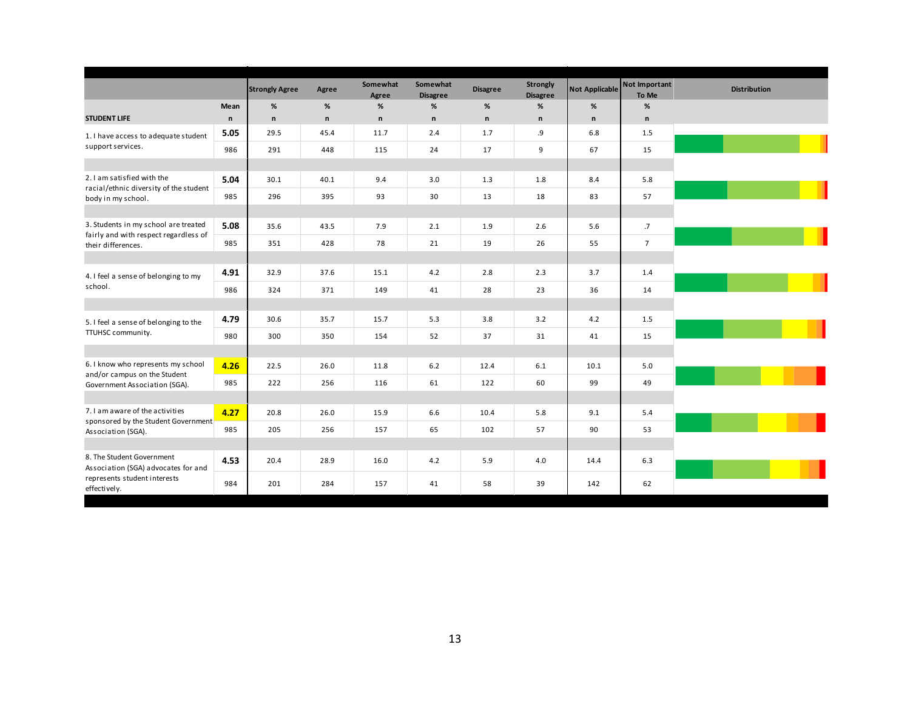|                                                                               |              | <b>Strongly Agree</b> | Agree        | Somewhat<br>Agree | Somewhat<br><b>Disagree</b> | <b>Disagree</b> | <b>Strongly</b><br><b>Disagree</b> | <b>Not Applicable</b> | Not Important<br>To Me | <b>Distribution</b> |
|-------------------------------------------------------------------------------|--------------|-----------------------|--------------|-------------------|-----------------------------|-----------------|------------------------------------|-----------------------|------------------------|---------------------|
|                                                                               | Mean         | $\%$                  | $\%$         | $\%$              | $\%$                        | %               | %                                  | %                     | %                      |                     |
| <b>STUDENT LIFE</b>                                                           | $\mathsf{n}$ | $\mathsf{n}$          | $\mathsf{n}$ | $\mathsf{n}$      | $\mathsf{n}$                | $\mathsf{n}$    | $\mathsf{n}$                       | $\mathsf{n}$          | $\mathsf{n}$           |                     |
| 1. I have access to adequate student                                          | 5.05         | 29.5                  | 45.4         | 11.7              | 2.4                         | 1.7             | و.                                 | 6.8                   | 1.5                    |                     |
| support services.                                                             | 986          | 291                   | 448          | 115               | 24                          | 17              | 9                                  | 67                    | 15                     |                     |
|                                                                               |              |                       |              |                   |                             |                 |                                    |                       |                        |                     |
| 2.1 am satisfied with the                                                     | 5.04         | 30.1                  | 40.1         | 9.4               | 3.0                         | 1.3             | 1.8                                | 8.4                   | 5.8                    |                     |
| racial/ethnic diversity of the student<br>body in my school.                  | 985          | 296                   | 395          | 93                | 30                          | 13              | 18                                 | 83                    | 57                     |                     |
|                                                                               |              |                       |              |                   |                             |                 |                                    |                       |                        |                     |
| 3. Students in my school are treated<br>fairly and with respect regardless of | 5.08         | 35.6                  | 43.5         | 7.9               | 2.1                         | 1.9             | 2.6                                | 5.6                   | .7                     |                     |
| their differences.                                                            | 985          | 351                   | 428          | 78                | 21                          | 19              | 26                                 | 55                    | $7\overline{ }$        |                     |
|                                                                               |              |                       |              |                   |                             |                 |                                    |                       |                        |                     |
| 4. I feel a sense of belonging to my<br>school.                               | 4.91         | 32.9                  | 37.6         | 15.1              | 4.2                         | 2.8             | 2.3                                | 3.7                   | 1.4                    |                     |
|                                                                               | 986          | 324                   | 371          | 149               | 41                          | 28              | 23                                 | 36                    | 14                     |                     |
|                                                                               |              |                       |              |                   |                             |                 |                                    |                       |                        |                     |
| 5. I feel a sense of belonging to the                                         | 4.79         | 30.6                  | 35.7         | 15.7              | 5.3                         | 3.8             | 3.2                                | 4.2                   | 1.5                    |                     |
| TTUHSC community.                                                             | 980          | 300                   | 350          | 154               | 52                          | 37              | 31                                 | 41                    | 15                     |                     |
|                                                                               |              |                       |              |                   |                             |                 |                                    |                       |                        |                     |
| 6. I know who represents my school<br>and/or campus on the Student            | 4.26         | 22.5                  | 26.0         | 11.8              | 6.2                         | 12.4            | 6.1                                | 10.1                  | 5.0                    |                     |
| Government Association (SGA).                                                 | 985          | 222                   | 256          | 116               | 61                          | 122             | 60                                 | 99                    | 49                     |                     |
|                                                                               |              |                       |              |                   |                             |                 |                                    |                       |                        |                     |
| 7. I am aware of the activities<br>sponsored by the Student Government        | 4.27         | 20.8                  | 26.0         | 15.9              | 6.6                         | 10.4            | 5.8                                | 9.1                   | 5.4                    |                     |
| Association (SGA).                                                            | 985          | 205                   | 256          | 157               | 65                          | 102             | 57                                 | 90                    | 53                     |                     |
|                                                                               |              |                       |              |                   |                             |                 |                                    |                       |                        |                     |
| 8. The Student Government<br>Association (SGA) advocates for and              | 4.53         | 20.4                  | 28.9         | 16.0              | 4.2                         | 5.9             | 4.0                                | 14.4                  | 6.3                    |                     |
| represents student interests<br>effectively.                                  | 984          | 201                   | 284          | 157               | 41                          | 58              | 39                                 | 142                   | 62                     |                     |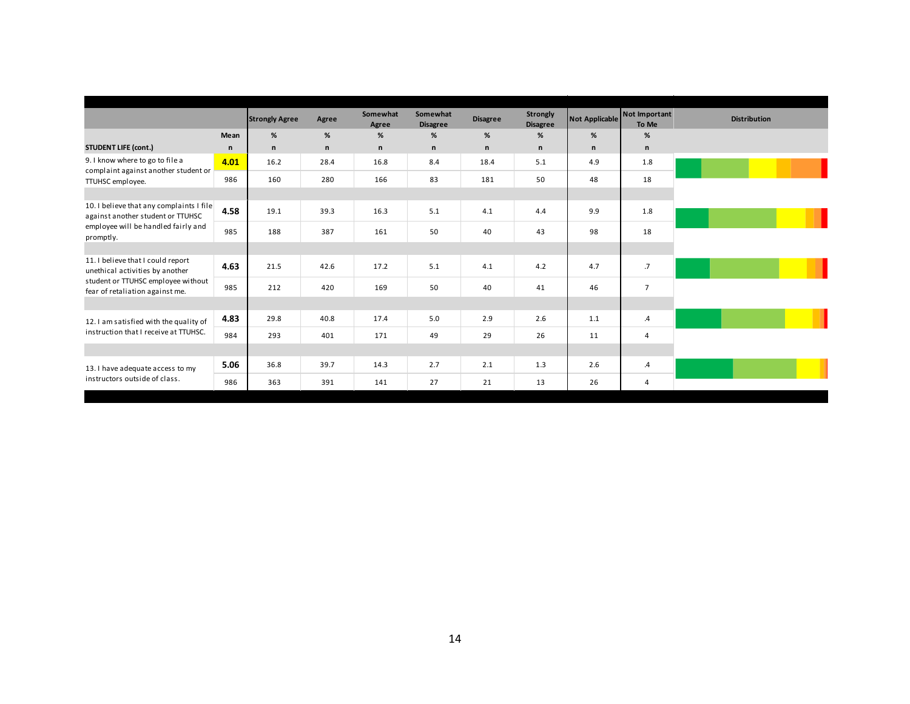|                                                                               |      | <b>Strongly Agree</b> | Agree | Somewhat<br>Agree | Somewhat<br><b>Disagree</b> | <b>Disagree</b> | Strongly<br><b>Disagree</b> | <b>Not Applicable</b> | Not Important<br>To Me | <b>Distribution</b> |
|-------------------------------------------------------------------------------|------|-----------------------|-------|-------------------|-----------------------------|-----------------|-----------------------------|-----------------------|------------------------|---------------------|
|                                                                               | Mean | %                     | %     | %                 | $\%$                        | %               | %                           | %                     | %                      |                     |
| <b>STUDENT LIFE (cont.)</b>                                                   | n    | n                     | n     | n                 | n                           | n               | n                           | n                     | n                      |                     |
| 9. I know where to go to file a                                               | 4.01 | 16.2                  | 28.4  | 16.8              | 8.4                         | 18.4            | 5.1                         | 4.9                   | 1.8                    |                     |
| complaint against another student or<br>TTUHSC employee.                      | 986  | 160                   | 280   | 166               | 83                          | 181             | 50                          | 48                    | 18                     |                     |
|                                                                               |      |                       |       |                   |                             |                 |                             |                       |                        |                     |
| 10. I believe that any complaints I file<br>against another student or TTUHSC | 4.58 | 19.1                  | 39.3  | 16.3              | 5.1                         | 4.1             | 4.4                         | 9.9                   | 1.8                    |                     |
| employee will be handled fairly and<br>promptly.                              | 985  | 188                   | 387   | 161               | 50                          | 40              | 43                          | 98                    | 18                     |                     |
|                                                                               |      |                       |       |                   |                             |                 |                             |                       |                        |                     |
| 11. I believe that I could report<br>unethical activities by another          | 4.63 | 21.5                  | 42.6  | 17.2              | 5.1                         | 4.1             | 4.2                         | 4.7                   | $.7\phantom{0}$        |                     |
| student or TTUHSC employee without<br>fear of retaliation against me.         | 985  | 212                   | 420   | 169               | 50                          | 40              | 41                          | 46                    | $\overline{7}$         |                     |
|                                                                               |      |                       |       |                   |                             |                 |                             |                       |                        |                     |
| 12. I am satisfied with the quality of                                        | 4.83 | 29.8                  | 40.8  | 17.4              | 5.0                         | 2.9             | 2.6                         | 1.1                   | $\cdot$                |                     |
| instruction that I receive at TTUHSC.                                         | 984  | 293                   | 401   | 171               | 49                          | 29              | 26                          | 11                    | $\overline{4}$         |                     |
|                                                                               |      |                       |       |                   |                             |                 |                             |                       |                        |                     |
| 13. I have adequate access to my                                              | 5.06 | 36.8                  | 39.7  | 14.3              | 2.7                         | 2.1             | 1.3                         | 2.6                   | $\overline{A}$         |                     |
| instructors outside of class.                                                 | 986  | 363                   | 391   | 141               | 27                          | 21              | 13                          | 26                    | $\overline{4}$         |                     |
|                                                                               |      |                       |       |                   |                             |                 |                             |                       |                        |                     |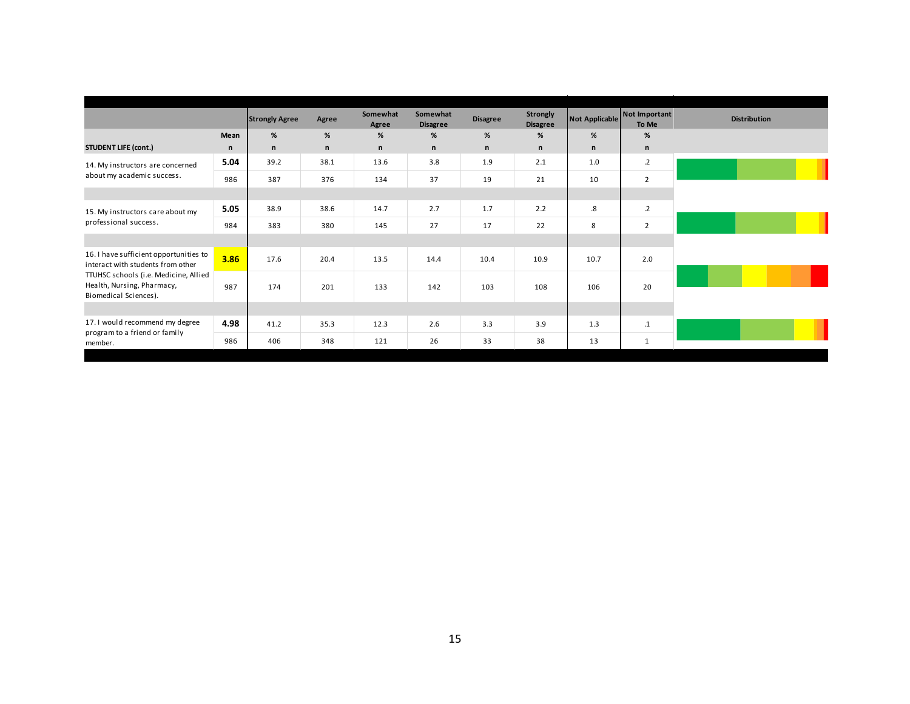|              |      | Agree                 | Somewhat<br>Agree | Somewhat<br><b>Disagree</b> | <b>Disagree</b> | <b>Strongly</b><br><b>Disagree</b> |              | To Me           | <b>Distribution</b>             |
|--------------|------|-----------------------|-------------------|-----------------------------|-----------------|------------------------------------|--------------|-----------------|---------------------------------|
| Mean         | %    | %                     | %                 | %                           | %               | %                                  | %            | $\%$            |                                 |
| $\mathsf{n}$ | n    | n                     | n                 | n                           | n               | n                                  | $\mathsf{n}$ | $\mathsf{n}$    |                                 |
| 5.04         | 39.2 | 38.1                  | 13.6              | 3.8                         | 1.9             | 2.1                                | 1.0          | $\cdot$ .2      |                                 |
| 986          | 387  | 376                   | 134               | 37                          | 19              | 21                                 | 10           | $\overline{2}$  |                                 |
|              |      |                       |                   |                             |                 |                                    |              |                 |                                 |
| 5.05         | 38.9 | 38.6                  | 14.7              | 2.7                         | 1.7             | 2.2                                | .8           | $.2\phantom{0}$ |                                 |
| 984          | 383  | 380                   | 145               | 27                          | 17              | 22                                 | 8            | $\overline{2}$  |                                 |
|              |      |                       |                   |                             |                 |                                    |              |                 |                                 |
| 3.86         | 17.6 | 20.4                  | 13.5              | 14.4                        | 10.4            | 10.9                               | 10.7         | 2.0             |                                 |
| 987          | 174  | 201                   | 133               | 142                         | 103             | 108                                | 106          | 20              |                                 |
|              |      |                       |                   |                             |                 |                                    |              |                 |                                 |
| 4.98         | 41.2 | 35.3                  | 12.3              | 2.6                         | 3.3             | 3.9                                | 1.3          | $.1\,$          |                                 |
| 986          | 406  | 348                   | 121               | 26                          | 33              | 38                                 | 13           | $\mathbf{1}$    |                                 |
|              |      | <b>Strongly Agree</b> |                   |                             |                 |                                    |              |                 | Not Important<br>Not Applicable |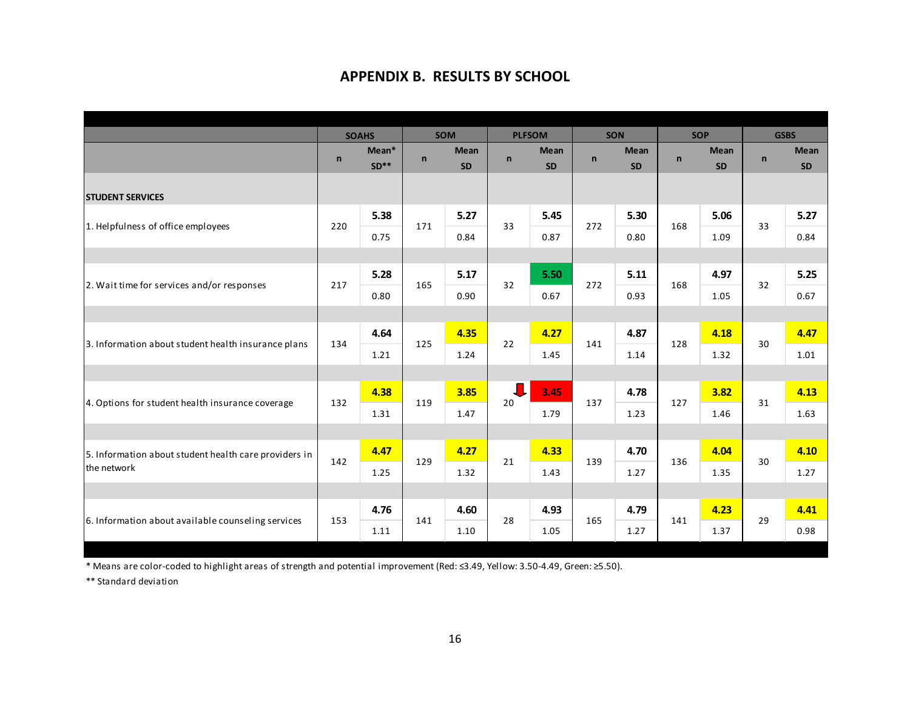## **APPENDIX B. RESULTS BY SCHOOL**

|                                                       |              | <b>SOAHS</b> |             | <b>SOM</b>  |              | <b>PLFSOM</b> | SON          |           |              | <b>SOP</b>  |              | <b>GSBS</b> |
|-------------------------------------------------------|--------------|--------------|-------------|-------------|--------------|---------------|--------------|-----------|--------------|-------------|--------------|-------------|
|                                                       | $\mathsf{n}$ | $Mean*$      | $\mathbf n$ | <b>Mean</b> | $\mathsf{n}$ | <b>Mean</b>   | $\mathsf{n}$ | Mean      | $\mathsf{n}$ | <b>Mean</b> | $\mathsf{n}$ | <b>Mean</b> |
|                                                       |              | $SD**$       |             | <b>SD</b>   |              | <b>SD</b>     |              | <b>SD</b> |              | <b>SD</b>   |              | <b>SD</b>   |
| <b>STUDENT SERVICES</b>                               |              |              |             |             |              |               |              |           |              |             |              |             |
|                                                       | 220          | 5.38         | 171         | 5.27        | 33           | 5.45          | 272          | 5.30      | 168          | 5.06        | 33           | 5.27        |
| 1. Helpfulness of office employees                    |              | 0.75         |             | 0.84        |              | 0.87          |              | 0.80      |              | 1.09        |              | 0.84        |
|                                                       |              |              |             |             |              |               |              |           |              |             |              |             |
|                                                       |              | 5.28         |             | 5.17        | 32           | 5.50          |              | 5.11      |              | 4.97        |              | 5.25        |
| 2. Wait time for services and/or responses            | 217          | 0.80         | 165         | 0.90        |              | 0.67          | 272          | 0.93      | 168          | 1.05        | 32           | 0.67        |
|                                                       |              |              |             |             |              |               |              |           |              |             |              |             |
|                                                       | 134          | 4.64         | 125         | 4.35        | 22           | 4.27          | 141          | 4.87      | 128          | 4.18        | 30           | 4.47        |
| 3. Information about student health insurance plans   |              | 1.21         |             | 1.24        |              | 1.45          |              | 1.14      |              | 1.32        |              | 1.01        |
|                                                       |              |              |             |             |              |               |              |           |              |             |              |             |
| 4. Options for student health insurance coverage      | 132          | 4.38         | 119         | 3.85        | 20           | 3.45          | 137          | 4.78      | 127          | 3.82        | 31           | 4.13        |
|                                                       |              | 1.31         |             | 1.47        |              | 1.79          |              | 1.23      |              | 1.46        |              | 1.63        |
|                                                       |              |              |             |             |              |               |              |           |              |             |              |             |
| 5. Information about student health care providers in | 142          | 4.47         | 129         | 4.27        | 21           | 4.33          | 139          | 4.70      | 136          | 4.04        | 30           | 4.10        |
| the network                                           |              | 1.25         |             | 1.32        |              | 1.43          |              | 1.27      |              | 1.35        |              | 1.27        |
|                                                       |              |              |             |             |              |               |              |           |              |             |              |             |
|                                                       | 153          | 4.76         | 141         | 4.60        | 28           | 4.93          | 165          | 4.79      | 141          | 4.23        | 29           | 4.41        |
| 6. Information about available counseling services    |              | 1.11         |             | 1.10        |              | 1.05          |              | 1.27      |              | 1.37        |              | 0.98        |

\* Means are color‐coded to highlight areas of strength and potential improvement (Red: ≤3.49, Yellow: 3.50‐4.49, Green: ≥5.50).

\*\* Standard deviation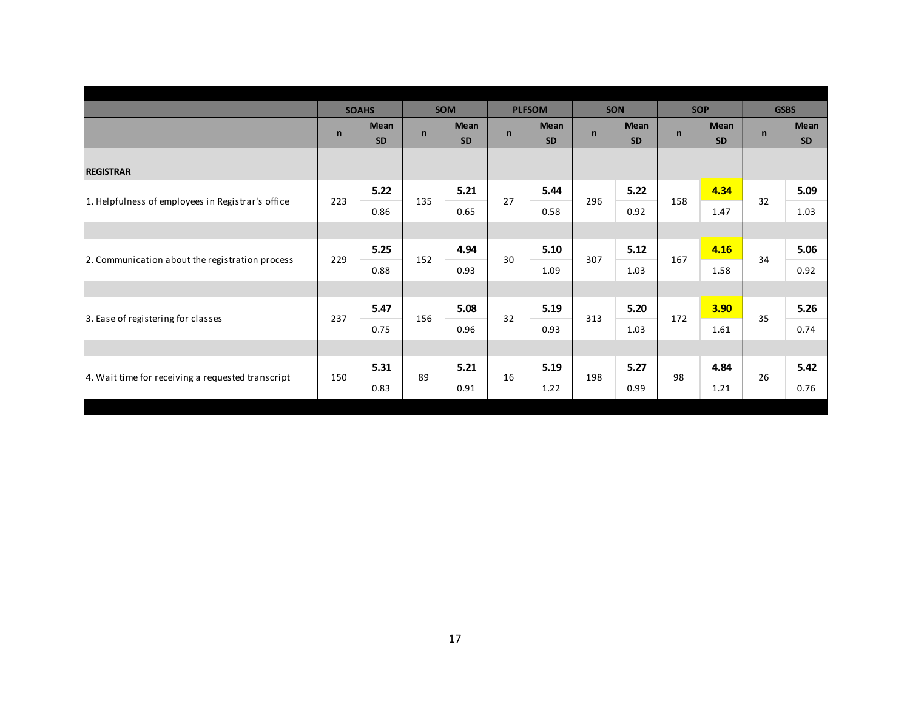|                                                   |              | <b>SOAHS</b>             |              | <b>SOM</b>               |              | <b>PLFSOM</b>            |              | <b>SON</b>        |     | <b>SOP</b>        |              | <b>GSBS</b>              |
|---------------------------------------------------|--------------|--------------------------|--------------|--------------------------|--------------|--------------------------|--------------|-------------------|-----|-------------------|--------------|--------------------------|
|                                                   | $\mathsf{n}$ | <b>Mean</b><br><b>SD</b> | $\mathsf{n}$ | <b>Mean</b><br><b>SD</b> | $\mathsf{n}$ | <b>Mean</b><br><b>SD</b> | $\mathsf{n}$ | Mean<br><b>SD</b> | n   | Mean<br><b>SD</b> | $\mathsf{n}$ | <b>Mean</b><br><b>SD</b> |
| <b>REGISTRAR</b>                                  |              |                          |              |                          |              |                          |              |                   |     |                   |              |                          |
|                                                   |              | 5.22                     |              | 5.21                     | 27           | 5.44                     |              | 5.22              |     | 4.34              | 32           | 5.09                     |
| 1. Helpfulness of employees in Registrar's office | 223          | 0.86                     | 135          | 0.65                     |              | 0.58                     | 296          | 0.92              | 158 | 1.47              |              | 1.03                     |
|                                                   |              |                          |              |                          |              |                          |              |                   |     |                   |              |                          |
|                                                   |              | 5.25                     |              | 4.94                     | 30           | 5.10                     |              | 5.12              |     | 4.16              |              | 5.06                     |
| 2. Communication about the registration process   | 229          | 0.88                     | 152          | 0.93                     |              | 1.09                     | 307          | 1.03              | 167 | 1.58              | 34           | 0.92                     |
|                                                   |              |                          |              |                          |              |                          |              |                   |     |                   |              |                          |
|                                                   | 237          | 5.47                     | 156          | 5.08                     | 32           | 5.19                     | 313          | 5.20              | 172 | 3.90              | 35           | 5.26                     |
| 3. Ease of registering for classes                |              | 0.75                     |              | 0.96                     |              | 0.93                     |              | 1.03              |     | 1.61              |              | 0.74                     |
|                                                   |              |                          |              |                          |              |                          |              |                   |     |                   |              |                          |
| 4. Wait time for receiving a requested transcript |              | 5.31                     | 89           | 5.21                     |              | 5.19                     |              | 5.27              |     | 4.84              |              | 5.42                     |
|                                                   | 150          | 0.83                     |              | 0.91                     | 16           | 1.22                     | 198          | 0.99              | 98  | 1.21              | 26           | 0.76                     |
|                                                   |              |                          |              |                          |              |                          |              |                   |     |                   |              |                          |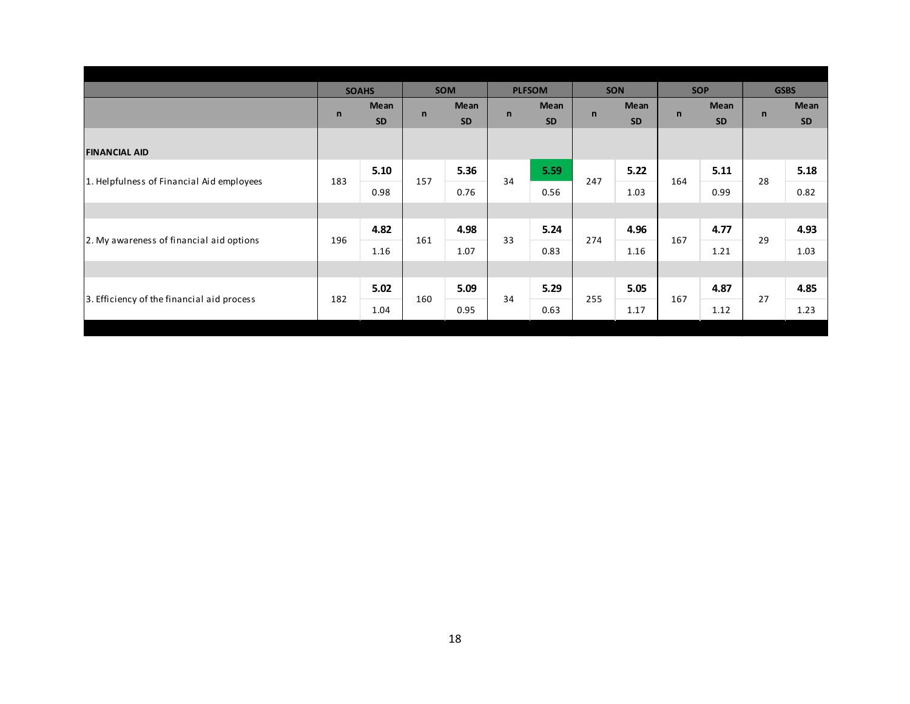|              |                   |              |                                  |              |                   |               |                   |              |                   |              | <b>GSBS</b>       |
|--------------|-------------------|--------------|----------------------------------|--------------|-------------------|---------------|-------------------|--------------|-------------------|--------------|-------------------|
| $\mathsf{n}$ | Mean<br><b>SD</b> |              | Mean<br><b>SD</b>                | $\mathsf{n}$ | Mean<br><b>SD</b> | $\mathsf{n}$  | Mean<br>SD        | $\mathsf{n}$ | Mean<br><b>SD</b> | $\mathsf{n}$ | Mean<br><b>SD</b> |
|              |                   |              |                                  |              |                   |               |                   |              |                   |              |                   |
|              | 5.10              |              | 5.36                             |              | 5.59              |               | 5.22              |              | 5.11              |              | 5.18              |
|              | 0.98              |              | 0.76                             |              | 0.56              |               | 1.03              |              | 0.99              |              | 0.82              |
|              |                   |              |                                  |              |                   |               |                   |              |                   |              |                   |
|              | 4.82              |              | 4.98                             |              | 5.24              |               | 4.96              |              | 4.77              |              | 4.93              |
|              | 1.16              |              | 1.07                             |              | 0.83              |               | 1.16              |              | 1.21              |              | 1.03              |
|              |                   |              |                                  |              |                   |               |                   |              |                   |              |                   |
|              | 5.02              |              | 5.09                             |              | 5.29              |               | 5.05              |              | 4.87              |              | 4.85              |
|              | 1.04              |              | 0.95                             |              | 0.63              |               | 1.17              |              | 1.12              |              | 1.23              |
|              | 183<br>196<br>182 | <b>SOAHS</b> | $\mathbf n$<br>157<br>161<br>160 | <b>SOM</b>   | 34<br>33<br>34    | <b>PLFSOM</b> | 247<br>274<br>255 | <b>SON</b>   | 164<br>167<br>167 | <b>SOP</b>   | 28<br>29<br>27    |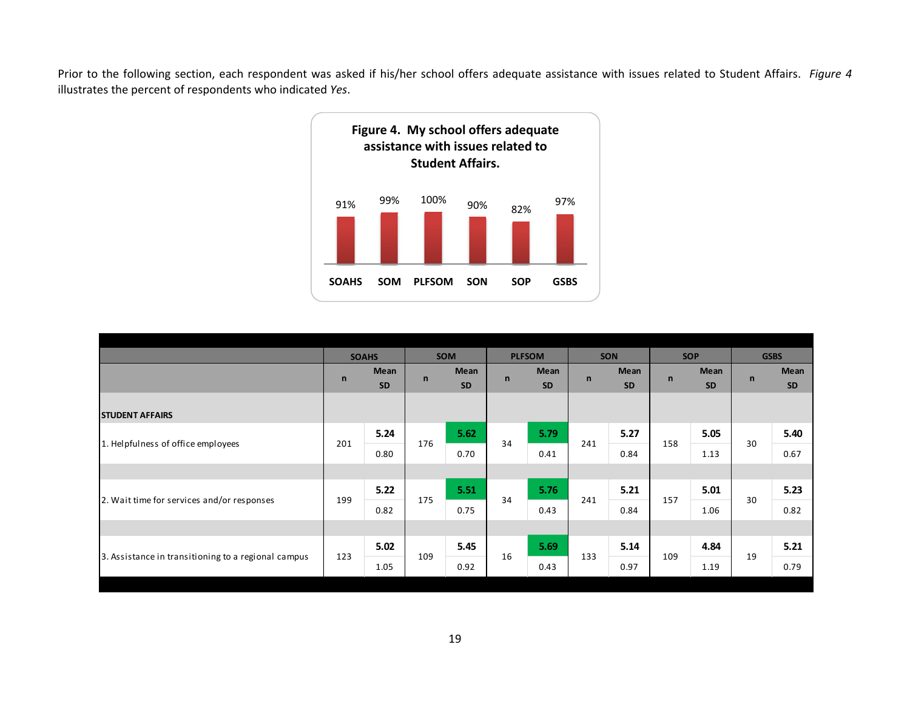Prior to the following section, each respondent was asked if his/her school offers adequate assistance with issues related to Student Affairs. *Figure 4* illustrates the percent of respondents who indicated *Yes*.



|                                                     |              | <b>SOAHS</b> |              | <b>SOM</b> |              | <b>PLFSOM</b> |              | <b>SON</b> |              | <b>SOP</b> |              | <b>GSBS</b> |
|-----------------------------------------------------|--------------|--------------|--------------|------------|--------------|---------------|--------------|------------|--------------|------------|--------------|-------------|
|                                                     |              | Mean         |              | Mean       | $\mathsf{n}$ | Mean          | $\mathsf{n}$ | Mean       |              | Mean       | $\mathsf{n}$ | Mean        |
|                                                     | $\mathsf{n}$ | <b>SD</b>    | $\mathsf{n}$ | <b>SD</b>  |              | <b>SD</b>     |              | <b>SD</b>  | $\mathsf{n}$ | <b>SD</b>  |              | <b>SD</b>   |
|                                                     |              |              |              |            |              |               |              |            |              |            |              |             |
| <b>STUDENT AFFAIRS</b>                              |              |              |              |            |              |               |              |            |              |            |              |             |
| 1. Helpfulness of office employees                  | 201          | 5.24         | 176          | 5.62       | 34           | 5.79          | 241          | 5.27       | 158          | 5.05       | 30           | 5.40        |
|                                                     |              | 0.80         |              | 0.70       |              | 0.41          |              | 0.84       |              | 1.13       |              | 0.67        |
|                                                     |              |              |              |            |              |               |              |            |              |            |              |             |
|                                                     | 199          | 5.22         |              | 5.51       | 34           | 5.76          | 241          | 5.21       | 157          | 5.01       | 30           | 5.23        |
| 2. Wait time for services and/or responses          |              | 0.82         | 175          | 0.75       |              | 0.43          |              | 0.84       |              | 1.06       |              | 0.82        |
|                                                     |              |              |              |            |              |               |              |            |              |            |              |             |
|                                                     |              | 5.02         |              | 5.45       |              | 5.69          |              | 5.14       |              | 4.84       |              | 5.21        |
| 3. Assistance in transitioning to a regional campus | 123          | 1.05         | 109          | 0.92       | 16           | 0.43          | 133          | 0.97       | 109          | 1.19       | 19           | 0.79        |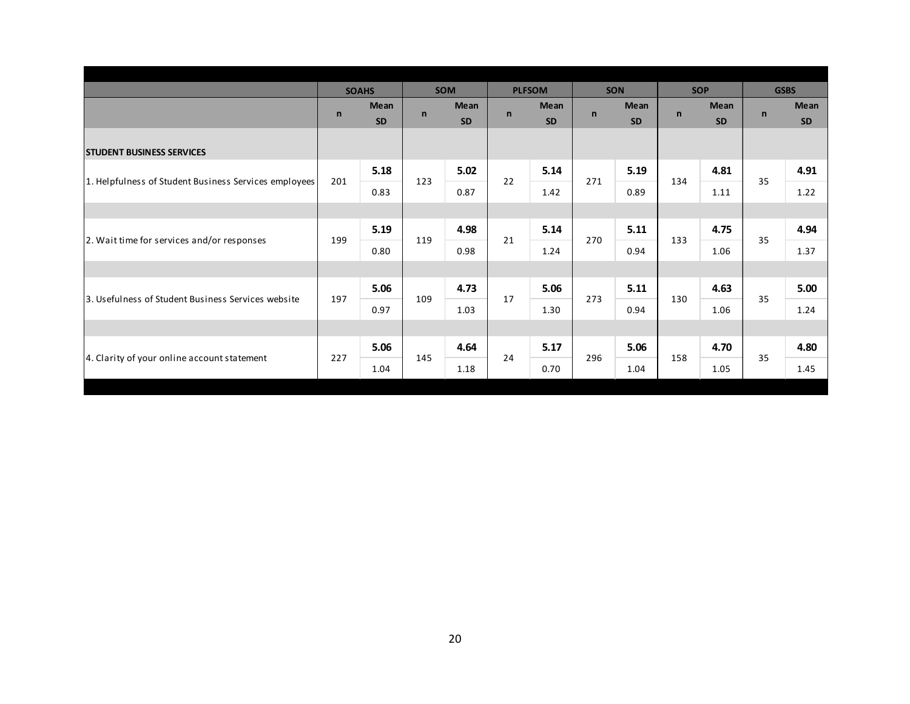|                                                       |              | <b>SOAHS</b>             |              | <b>SOM</b>               |              | <b>PLFSOM</b>            |              | SON                      |              | <b>SOP</b>               |              | <b>GSBS</b>       |
|-------------------------------------------------------|--------------|--------------------------|--------------|--------------------------|--------------|--------------------------|--------------|--------------------------|--------------|--------------------------|--------------|-------------------|
|                                                       | $\mathsf{n}$ | <b>Mean</b><br><b>SD</b> | $\mathsf{n}$ | <b>Mean</b><br><b>SD</b> | $\mathsf{n}$ | <b>Mean</b><br><b>SD</b> | $\mathsf{n}$ | <b>Mean</b><br><b>SD</b> | $\mathsf{n}$ | <b>Mean</b><br><b>SD</b> | $\mathsf{n}$ | Mean<br><b>SD</b> |
| <b>STUDENT BUSINESS SERVICES</b>                      |              |                          |              |                          |              |                          |              |                          |              |                          |              |                   |
|                                                       |              | 5.18                     |              | 5.02                     |              | 5.14                     |              | 5.19                     |              | 4.81                     |              | 4.91              |
| 1. Helpfulness of Student Business Services employees | 201          | 0.83                     | 123          | 0.87                     | 22           | 1.42                     | 271          | 0.89                     | 134          | 1.11                     | 35           | 1.22              |
|                                                       |              |                          |              |                          |              |                          |              |                          |              |                          |              |                   |
| 2. Wait time for services and/or responses            | 199          | 5.19                     | 119          | 4.98                     | 21           | 5.14                     | 270          | 5.11                     | 133          | 4.75                     | 35           | 4.94              |
|                                                       |              | 0.80                     |              | 0.98                     |              | 1.24                     |              | 0.94                     |              | 1.06                     |              | 1.37              |
|                                                       |              |                          |              |                          |              |                          |              |                          |              |                          |              |                   |
| 3. Usefulness of Student Business Services website    | 197          | 5.06                     | 109          | 4.73                     | 17           | 5.06                     | 273          | 5.11                     | 130          | 4.63                     | 35           | 5.00              |
|                                                       |              | 0.97                     |              | 1.03                     |              | 1.30                     |              | 0.94                     |              | 1.06                     |              | 1.24              |
|                                                       |              |                          |              |                          |              |                          |              |                          |              |                          |              |                   |
|                                                       | 227          | 5.06                     |              | 4.64                     | 24           | 5.17                     | 296          | 5.06                     |              | 4.70                     | 35           | 4.80              |
| 4. Clarity of your online account statement           |              | 1.04                     | 145          | 1.18                     |              | 0.70                     |              | 1.04                     | 158          | 1.05                     |              | 1.45              |
|                                                       |              |                          |              |                          |              |                          |              |                          |              |                          |              |                   |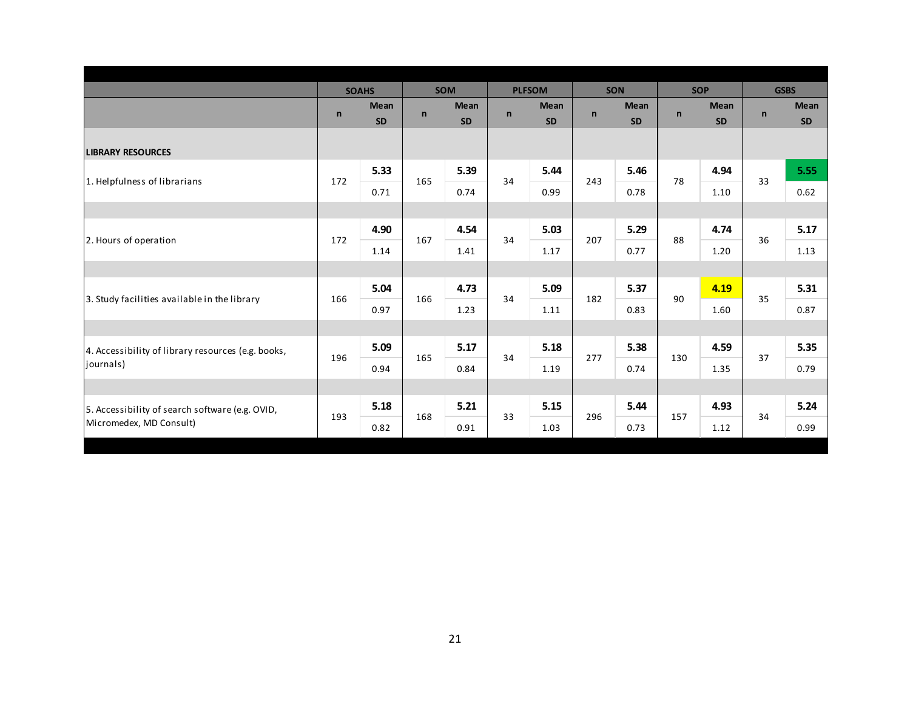|                                                    |              | <b>SOAHS</b> |              | <b>SOM</b>  |              | <b>PLFSOM</b> |              | SON       | <b>SOP</b>   |             |              | <b>GSBS</b> |
|----------------------------------------------------|--------------|--------------|--------------|-------------|--------------|---------------|--------------|-----------|--------------|-------------|--------------|-------------|
|                                                    | $\mathsf{n}$ | Mean         | $\mathsf{n}$ | <b>Mean</b> | $\mathsf{n}$ | <b>Mean</b>   | $\mathsf{n}$ | Mean      | $\mathsf{n}$ | <b>Mean</b> | $\mathsf{n}$ | Mean        |
|                                                    |              | <b>SD</b>    |              | <b>SD</b>   |              | <b>SD</b>     |              | <b>SD</b> |              | <b>SD</b>   |              | <b>SD</b>   |
| <b>LIBRARY RESOURCES</b>                           |              |              |              |             |              |               |              |           |              |             |              |             |
|                                                    |              | 5.33         |              | 5.39        | 34           | 5.44          |              | 5.46      | 78           | 4.94        |              | 5.55        |
| 1. Helpfulness of librarians                       | 172          | 0.71         | 165          | 0.74        |              | 0.99          | 243          | 0.78      |              | 1.10        | 33           | 0.62        |
|                                                    |              |              |              |             |              |               |              |           |              |             |              |             |
| 2. Hours of operation                              | 172          | 4.90         | 167          | 4.54        | 34           | 5.03          | 207          | 5.29      | 88           | 4.74        | 36           | 5.17        |
|                                                    |              | 1.14         |              | 1.41        |              | 1.17          |              | 0.77      |              | 1.20        |              | 1.13        |
|                                                    |              |              |              |             |              |               |              |           |              |             |              |             |
|                                                    |              | 5.04         |              | 4.73        |              | 5.09          |              | 5.37      |              | 4.19        |              | 5.31        |
| 3. Study facilities available in the library       | 166          | 0.97         | 166          | 1.23        | 34           | 1.11          | 182          | 0.83      | 90           | 1.60        | 35           | 0.87        |
|                                                    |              |              |              |             |              |               |              |           |              |             |              |             |
| 4. Accessibility of library resources (e.g. books, |              | 5.09         |              | 5.17        | 34           | 5.18          |              | 5.38      |              | 4.59        |              | 5.35        |
| journals)                                          | 196          | 0.94         | 165          | 0.84        |              | 1.19          | 277          | 0.74      | 130          | 1.35        | 37           | 0.79        |
|                                                    |              |              |              |             |              |               |              |           |              |             |              |             |
| 5. Accessibility of search software (e.g. OVID,    |              | 5.18         |              | 5.21        |              | 5.15          |              | 5.44      |              | 4.93        |              | 5.24        |
| Micromedex, MD Consult)                            | 193          | 0.82         | 168          | 0.91        | 33           | 1.03          | 296          | 0.73      | 157          | 1.12        | 34           | 0.99        |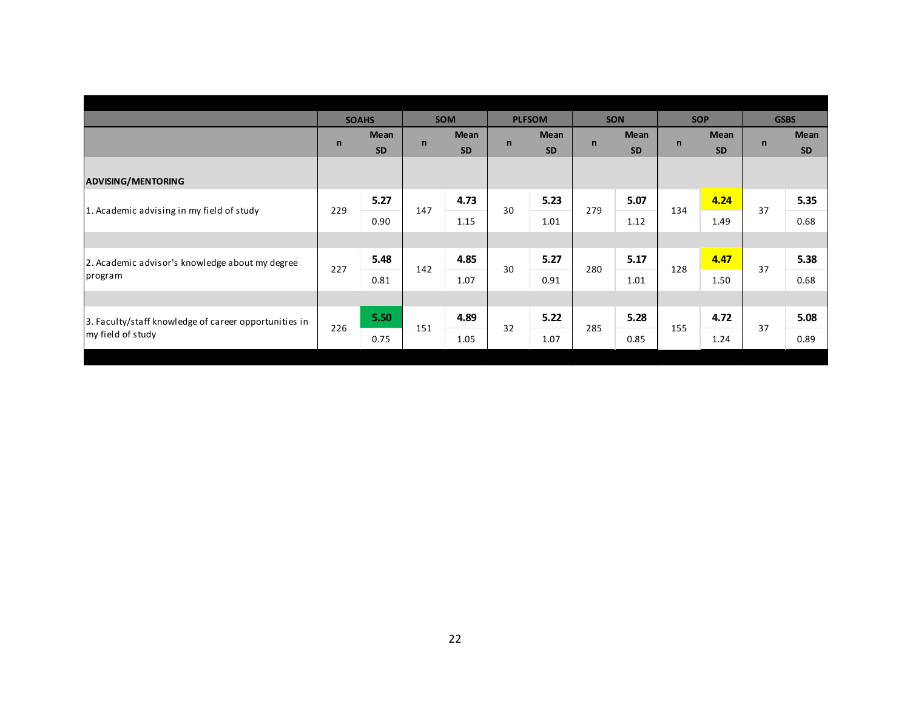|             |                   |              |                                   |              |                   |               |                   |              |                   |              | <b>GSBS</b>       |
|-------------|-------------------|--------------|-----------------------------------|--------------|-------------------|---------------|-------------------|--------------|-------------------|--------------|-------------------|
| $\mathbf n$ | Mean<br><b>SD</b> |              | <b>Mean</b><br><b>SD</b>          | $\mathsf{n}$ | Mean<br><b>SD</b> | $\mathsf{n}$  | Mean<br><b>SD</b> | $\mathsf{n}$ | Mean<br><b>SD</b> | $\mathsf{n}$ | Mean<br><b>SD</b> |
|             |                   |              |                                   |              |                   |               |                   |              |                   |              |                   |
|             | 5.27              |              | 4.73                              |              | 5.23              |               | 5.07              |              | 4.24              |              | 5.35              |
|             | 0.90              |              | 1.15                              |              | 1.01              |               | 1.12              |              | 1.49              |              | 0.68              |
|             |                   |              |                                   |              |                   |               |                   |              |                   |              |                   |
|             | 5.48              |              | 4.85                              |              | 5.27              |               | 5.17              |              | 4.47              |              | 5.38              |
|             | 0.81              |              | 1.07                              |              | 0.91              |               | 1.01              |              | 1.50              |              | 0.68              |
|             |                   |              |                                   |              |                   |               |                   |              |                   |              |                   |
|             | 5.50              |              | 4.89                              |              | 5.22              |               | 5.28              |              | 4.72              |              | 5.08              |
|             | 0.75              |              | 1.05                              |              | 1.07              |               | 0.85              |              | 1.24              |              | 0.89              |
|             | 229<br>227<br>226 | <b>SOAHS</b> | $\mathsf{n}$<br>147<br>142<br>151 | <b>SOM</b>   | 30<br>30<br>32    | <b>PLFSOM</b> | 279<br>280<br>285 | <b>SON</b>   | 134<br>128<br>155 | <b>SOP</b>   | 37<br>37<br>37    |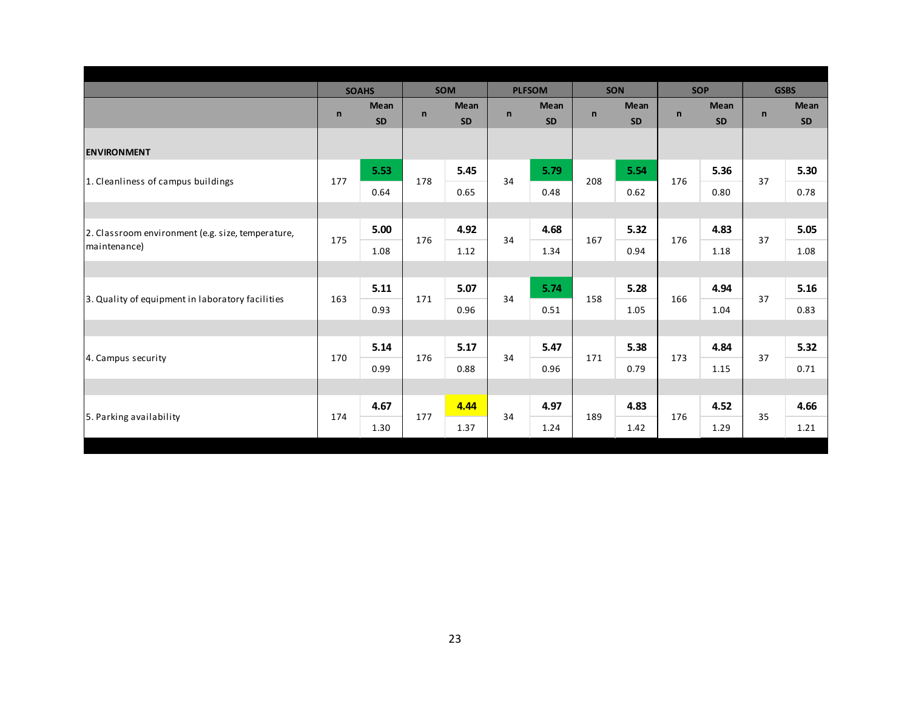|                                                                   |              | <b>SOAHS</b> |              | <b>SOM</b>  |              | <b>PLFSOM</b> |              | <b>SON</b>  | <b>SOP</b>   |             |              | <b>GSBS</b> |
|-------------------------------------------------------------------|--------------|--------------|--------------|-------------|--------------|---------------|--------------|-------------|--------------|-------------|--------------|-------------|
|                                                                   | $\mathsf{n}$ | <b>Mean</b>  | $\mathsf{n}$ | <b>Mean</b> | $\mathsf{n}$ | <b>Mean</b>   | $\mathsf{n}$ | <b>Mean</b> | $\mathsf{n}$ | <b>Mean</b> | $\mathsf{n}$ | Mean        |
|                                                                   |              | <b>SD</b>    |              | <b>SD</b>   |              | <b>SD</b>     |              | <b>SD</b>   |              | <b>SD</b>   |              | SD          |
| <b>ENVIRONMENT</b>                                                |              |              |              |             |              |               |              |             |              |             |              |             |
|                                                                   | 177          | 5.53         | 178          | 5.45        | 34           | 5.79          | 208          | 5.54        | 176          | 5.36        | 37           | 5.30        |
| 1. Cleanliness of campus buildings                                |              | 0.64         |              | 0.65        |              | 0.48          |              | 0.62        |              | 0.80        |              | 0.78        |
|                                                                   |              |              |              |             |              |               |              |             |              |             |              |             |
| 2. Classroom environment (e.g. size, temperature,<br>maintenance) | 175          | 5.00         | 176          | 4.92        | 34           | 4.68          | 167          | 5.32        | 176          | 4.83        | 37           | 5.05        |
|                                                                   |              | 1.08         |              | 1.12        |              | 1.34          |              | 0.94        |              | 1.18        |              | 1.08        |
|                                                                   |              |              |              |             |              |               |              |             |              |             |              |             |
|                                                                   | 163          | 5.11         | 171          | 5.07        | 34           | 5.74          | 158          | 5.28        | 166          | 4.94        | 37           | 5.16        |
| 3. Quality of equipment in laboratory facilities                  |              | 0.93         |              | 0.96        |              | 0.51          |              | 1.05        |              | 1.04        |              | 0.83        |
|                                                                   |              |              |              |             |              |               |              |             |              |             |              |             |
|                                                                   | 170          | 5.14         | 176          | 5.17        | 34           | 5.47          | 171          | 5.38        | 173          | 4.84        | 37           | 5.32        |
| 4. Campus security                                                |              | 0.99         |              | 0.88        |              | 0.96          |              | 0.79        |              | 1.15        |              | 0.71        |
|                                                                   |              |              |              |             |              |               |              |             |              |             |              |             |
|                                                                   |              | 4.67         |              | 4.44        |              | 4.97          |              | 4.83        |              | 4.52        |              | 4.66        |
| 5. Parking availability                                           | 174          | 1.30         | 177          | 1.37        | 34           | 1.24          | 189          | 1.42        | 176          | 1.29        | 35           | 1.21        |
|                                                                   |              |              |              |             |              |               |              |             |              |             |              |             |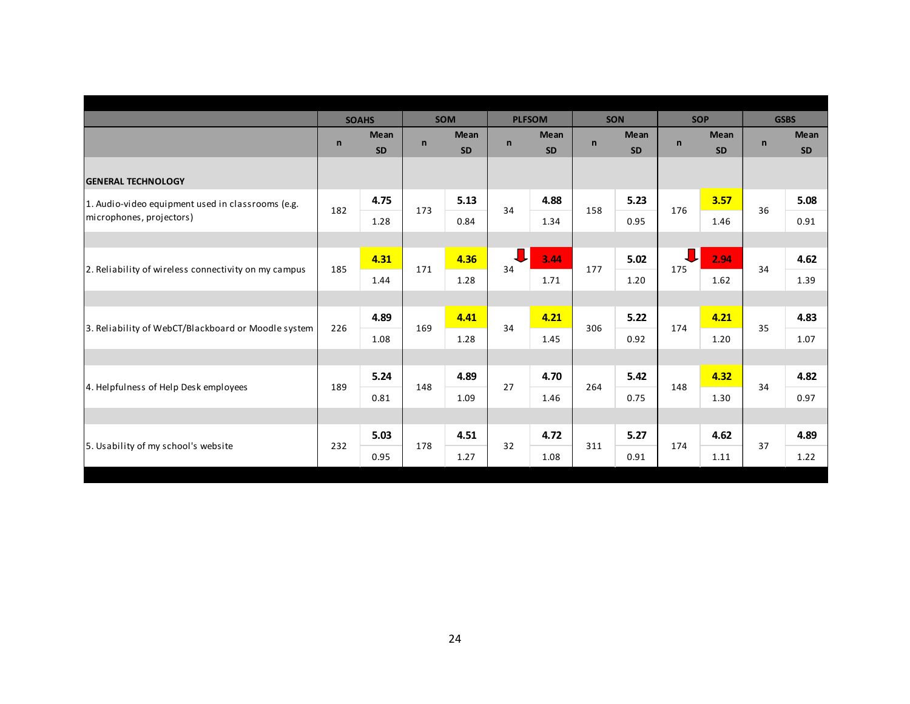|                                                      |              | <b>SOAHS</b>             |              | <b>SOM</b>               |              | <b>PLFSOM</b>            |              | <b>SON</b>               | <b>SOP</b>   |                          |              | <b>GSBS</b>       |
|------------------------------------------------------|--------------|--------------------------|--------------|--------------------------|--------------|--------------------------|--------------|--------------------------|--------------|--------------------------|--------------|-------------------|
|                                                      | $\mathsf{n}$ | <b>Mean</b><br><b>SD</b> | $\mathsf{n}$ | <b>Mean</b><br><b>SD</b> | $\mathsf{n}$ | <b>Mean</b><br><b>SD</b> | $\mathsf{n}$ | <b>Mean</b><br><b>SD</b> | $\mathsf{n}$ | <b>Mean</b><br><b>SD</b> | $\mathsf{n}$ | Mean<br><b>SD</b> |
| <b>GENERAL TECHNOLOGY</b>                            |              |                          |              |                          |              |                          |              |                          |              |                          |              |                   |
| 1. Audio-video equipment used in classrooms (e.g.    | 182          | 4.75                     | 173          | 5.13                     | 34           | 4.88                     | 158          | 5.23                     | 176          | 3.57                     | 36           | 5.08              |
| microphones, projectors)                             |              | 1.28                     |              | 0.84                     |              | 1.34                     |              | 0.95                     |              | 1.46                     |              | 0.91              |
|                                                      |              |                          |              |                          |              |                          |              |                          |              |                          |              |                   |
| 2. Reliability of wireless connectivity on my campus | 185          | 4.31                     | 171          | 4.36                     | 34           | 3.44                     | 177          | 5.02                     | ┚<br>175     | 2.94                     | 34           | 4.62              |
|                                                      |              | 1.44                     |              | 1.28                     |              | 1.71                     |              | 1.20                     |              | 1.62                     |              | 1.39              |
|                                                      |              |                          |              |                          |              |                          |              |                          |              |                          |              |                   |
|                                                      | 226          | 4.89                     | 169          | 4.41                     | 34           | 4.21                     | 306          | 5.22                     | 174          | 4.21                     | 35           | 4.83              |
| 3. Reliability of WebCT/Blackboard or Moodle system  |              | 1.08                     |              | 1.28                     |              | 1.45                     |              | 0.92                     |              | 1.20                     |              | 1.07              |
|                                                      |              |                          |              |                          |              |                          |              |                          |              |                          |              |                   |
|                                                      | 189          | 5.24                     | 148          | 4.89                     | 27           | 4.70                     | 264          | 5.42                     | 148          | 4.32                     | 34           | 4.82              |
| 4. Helpfulness of Help Desk employees                |              | 0.81                     |              | 1.09                     |              | 1.46                     |              | 0.75                     |              | 1.30                     |              | 0.97              |
|                                                      |              |                          |              |                          |              |                          |              |                          |              |                          |              |                   |
| 5. Usability of my school's website                  | 232          | 5.03                     | 178          | 4.51                     | 32           | 4.72                     | 311          | 5.27                     | 174          | 4.62                     | 37           | 4.89              |
|                                                      |              | 0.95                     |              | 1.27                     |              | 1.08                     |              | 0.91                     |              | 1.11                     |              | 1.22              |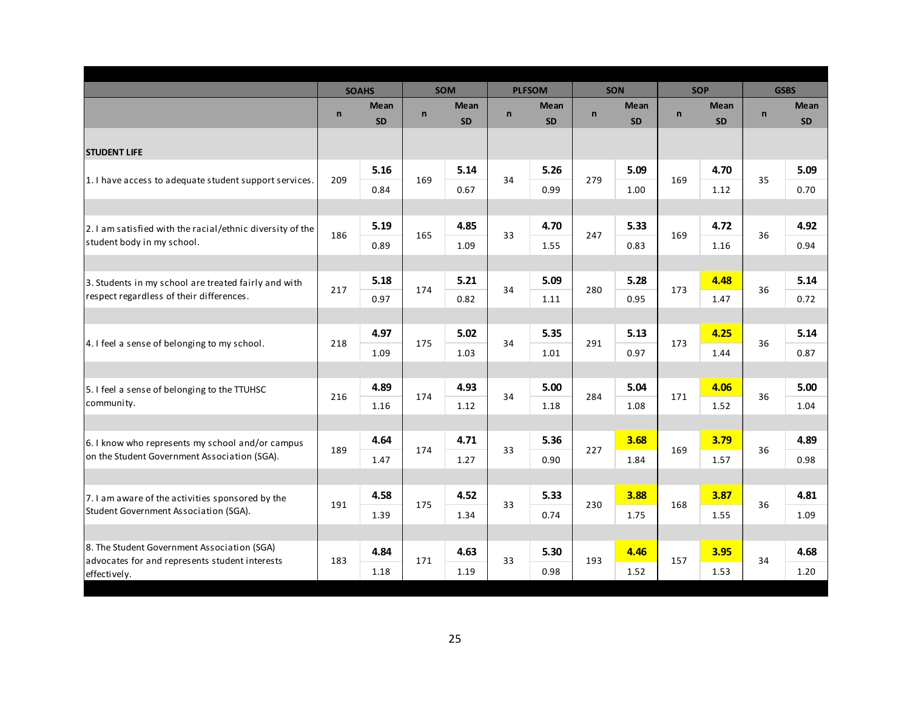|                                                                       |              | <b>SOAHS</b>             |              | <b>SOM</b>               |              | <b>PLFSOM</b>            |              | SON                      |              | <b>SOP</b>               |              | <b>GSBS</b>              |
|-----------------------------------------------------------------------|--------------|--------------------------|--------------|--------------------------|--------------|--------------------------|--------------|--------------------------|--------------|--------------------------|--------------|--------------------------|
|                                                                       | $\mathsf{n}$ | <b>Mean</b><br><b>SD</b> | $\mathsf{n}$ | <b>Mean</b><br><b>SD</b> | $\mathsf{n}$ | <b>Mean</b><br><b>SD</b> | $\mathsf{n}$ | <b>Mean</b><br><b>SD</b> | $\mathsf{n}$ | <b>Mean</b><br><b>SD</b> | $\mathsf{n}$ | <b>Mean</b><br><b>SD</b> |
| <b>STUDENT LIFE</b>                                                   |              |                          |              |                          |              |                          |              |                          |              |                          |              |                          |
|                                                                       |              | 5.16                     |              | 5.14                     |              | 5.26                     |              | 5.09                     |              | 4.70                     |              | 5.09                     |
| 1. I have access to adequate student support services.                | 209          | 0.84                     | 169          | 0.67                     | 34           | 0.99                     | 279          | 1.00                     | 169          | 1.12                     | 35           | 0.70                     |
|                                                                       |              |                          |              |                          |              |                          |              |                          |              |                          |              |                          |
| 2.1 am satisfied with the racial/ethnic diversity of the              |              | 5.19                     |              | 4.85                     |              | 4.70                     |              | 5.33                     |              | 4.72                     |              | 4.92                     |
| student body in my school.                                            | 186          | 0.89                     | 165          | 1.09                     | 33           | 1.55                     | 247          | 0.83                     | 169          | 1.16                     | 36           | 0.94                     |
|                                                                       |              |                          |              |                          |              |                          |              |                          |              |                          |              |                          |
| 3. Students in my school are treated fairly and with                  |              | 5.18                     |              | 5.21                     |              | 5.09                     |              | 5.28                     |              | 4.48                     |              | 5.14                     |
| respect regardless of their differences.                              | 217          | 0.97                     | 174          | 0.82                     | 34           | 1.11                     | 280          | 0.95                     | 173          | 1.47                     | 36           | 0.72                     |
|                                                                       |              |                          |              |                          |              |                          |              |                          |              |                          |              |                          |
| 4. I feel a sense of belonging to my school.                          | 218          | 4.97                     | 175          | 5.02                     | 34           | 5.35                     | 291          | 5.13                     | 173          | 4.25                     | 36           | 5.14                     |
|                                                                       |              | 1.09                     |              | 1.03                     |              | 1.01                     |              | 0.97                     |              | 1.44                     |              | 0.87                     |
|                                                                       |              |                          |              |                          |              |                          |              |                          |              |                          |              |                          |
| 5. I feel a sense of belonging to the TTUHSC                          | 216          | 4.89                     | 174          | 4.93                     | 34           | 5.00                     | 284          | 5.04                     | 171          | 4.06                     | 36           | 5.00                     |
| community.                                                            |              | 1.16                     |              | 1.12                     |              | 1.18                     |              | 1.08                     |              | 1.52                     |              | 1.04                     |
|                                                                       |              |                          |              |                          |              |                          |              |                          |              |                          |              |                          |
| 6.1 know who represents my school and/or campus                       | 189          | 4.64                     | 174          | 4.71                     | 33           | 5.36                     | 227          | 3.68                     | 169          | 3.79                     | 36           | 4.89                     |
| on the Student Government Association (SGA).                          |              | 1.47                     |              | 1.27                     |              | 0.90                     |              | 1.84                     |              | 1.57                     |              | 0.98                     |
|                                                                       |              |                          |              |                          |              |                          |              |                          |              |                          |              |                          |
| 7. I am aware of the activities sponsored by the                      | 191          | 4.58                     | 175          | 4.52                     | 33           | 5.33                     | 230          | 3.88                     | 168          | 3.87                     | 36           | 4.81                     |
| Student Government Association (SGA).                                 |              | 1.39                     |              | 1.34                     |              | 0.74                     |              | 1.75                     |              | 1.55                     |              | 1.09                     |
|                                                                       |              |                          |              |                          |              |                          |              |                          |              |                          |              |                          |
| 8. The Student Government Association (SGA)                           |              | 4.84                     | 171          | 4.63                     | 33           | 5.30                     | 193          | 4.46                     | 157          | 3.95                     | 34           | 4.68                     |
| 183<br>advocates for and represents student interests<br>effectively. | 1.18         |                          | 1.19         |                          | 0.98         |                          | 1.52         |                          | 1.53         |                          | 1.20         |                          |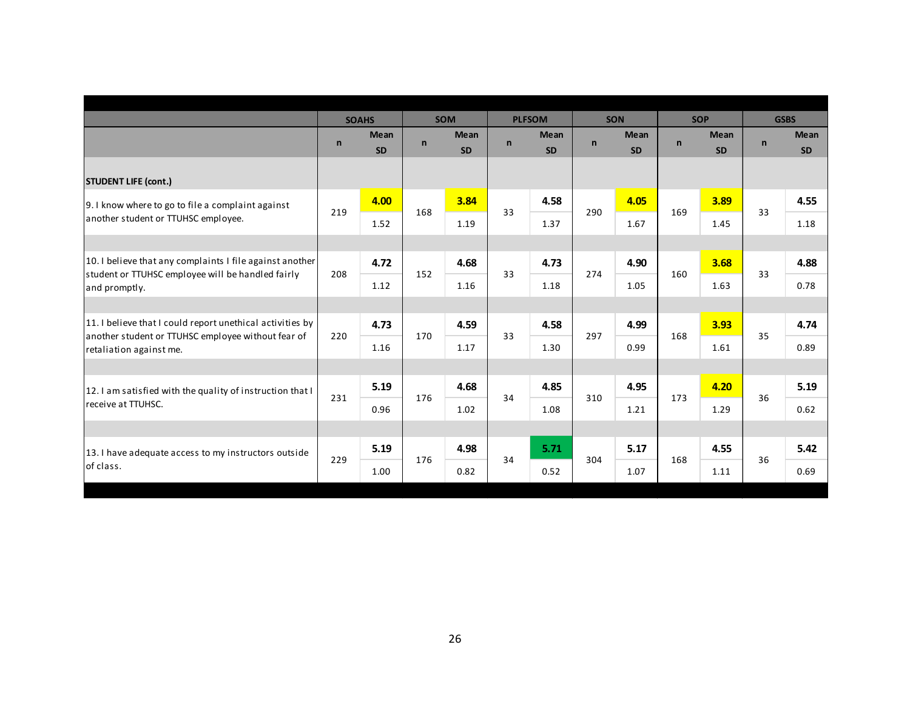|                                                                               |              | <b>SOAHS</b>             |              | <b>SOM</b>               |              | <b>PLFSOM</b>            |              | <b>SON</b>               |              | <b>SOP</b>               |              | <b>GSBS</b>              |
|-------------------------------------------------------------------------------|--------------|--------------------------|--------------|--------------------------|--------------|--------------------------|--------------|--------------------------|--------------|--------------------------|--------------|--------------------------|
|                                                                               | $\mathsf{n}$ | <b>Mean</b><br><b>SD</b> | $\mathsf{n}$ | <b>Mean</b><br><b>SD</b> | $\mathsf{n}$ | <b>Mean</b><br><b>SD</b> | $\mathsf{n}$ | <b>Mean</b><br><b>SD</b> | $\mathsf{n}$ | <b>Mean</b><br><b>SD</b> | $\mathsf{n}$ | <b>Mean</b><br><b>SD</b> |
| <b>STUDENT LIFE (cont.)</b>                                                   |              |                          |              |                          |              |                          |              |                          |              |                          |              |                          |
| 9. I know where to go to file a complaint against                             | 219          | 4.00                     | 168          | 3.84                     | 33           | 4.58                     | 290          | 4.05                     | 169          | 3.89                     | 33           | 4.55                     |
| another student or TTUHSC employee.                                           |              | 1.52                     |              | 1.19                     |              | 1.37                     |              | 1.67                     |              | 1.45                     |              | 1.18                     |
|                                                                               |              |                          |              |                          |              |                          |              |                          |              |                          |              |                          |
| 10. I believe that any complaints I file against another                      | 208          | 4.72                     | 152          | 4.68                     | 33           | 4.73                     | 274          | 4.90                     | 160          | 3.68                     | 33           | 4.88                     |
| student or TTUHSC employee will be handled fairly<br>and promptly.            |              | 1.12                     |              | 1.16                     |              | 1.18                     |              | 1.05                     |              | 1.63                     |              | 0.78                     |
|                                                                               |              |                          |              |                          |              |                          |              |                          |              |                          |              |                          |
| 11. I believe that I could report unethical activities by                     | 220          | 4.73                     | 170          | 4.59                     | 33           | 4.58                     | 297          | 4.99                     | 168          | 3.93                     | 35           | 4.74                     |
| another student or TTUHSC employee without fear of<br>retaliation against me. |              | 1.16                     |              | 1.17                     |              | 1.30                     |              | 0.99                     |              | 1.61                     |              | 0.89                     |
|                                                                               |              |                          |              |                          |              |                          |              |                          |              |                          |              |                          |
| 12. I am satisfied with the quality of instruction that I                     | 231          | 5.19                     | 176          | 4.68                     | 34           | 4.85                     | 310          | 4.95                     | 173          | 4.20                     | 36           | 5.19                     |
| receive at TTUHSC.                                                            |              | 0.96                     |              | 1.02                     |              | 1.08                     |              | 1.21                     |              | 1.29                     |              | 0.62                     |
|                                                                               |              |                          |              |                          |              |                          |              |                          |              |                          |              |                          |
| 13. I have adequate access to my instructors outside                          |              | 5.19                     |              | 4.98                     |              | 5.71                     |              | 5.17                     |              | 4.55                     |              | 5.42                     |
| of class.                                                                     | 229          | 1.00                     | 176          | 0.82                     | 34           | 0.52                     | 304          | 1.07                     | 168          | 1.11                     | 36           | 0.69                     |
|                                                                               |              |                          |              |                          |              |                          |              |                          |              |                          |              |                          |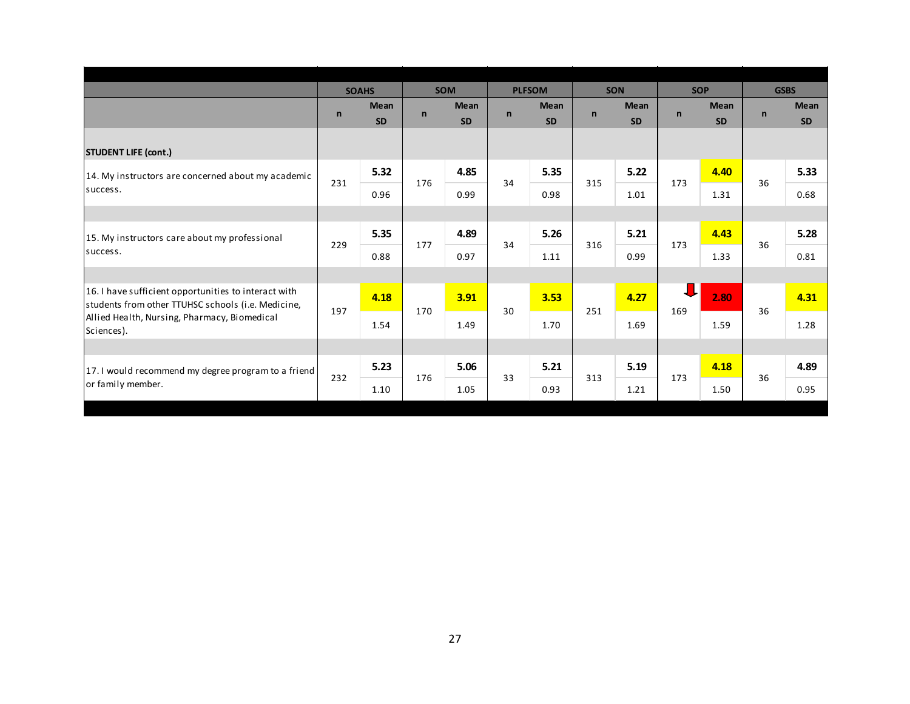|                                                                                                            |              | <b>SOAHS</b>             |              | <b>SOM</b>               |              | <b>PLFSOM</b>            |              | <b>SON</b>        | <b>SOP</b>   |                          |              | <b>GSBS</b>       |
|------------------------------------------------------------------------------------------------------------|--------------|--------------------------|--------------|--------------------------|--------------|--------------------------|--------------|-------------------|--------------|--------------------------|--------------|-------------------|
|                                                                                                            | $\mathsf{n}$ | <b>Mean</b><br><b>SD</b> | $\mathsf{n}$ | <b>Mean</b><br><b>SD</b> | $\mathsf{n}$ | <b>Mean</b><br><b>SD</b> | $\mathsf{n}$ | Mean<br><b>SD</b> | $\mathsf{n}$ | <b>Mean</b><br><b>SD</b> | $\mathsf{n}$ | Mean<br><b>SD</b> |
| <b>STUDENT LIFE (cont.)</b>                                                                                |              |                          |              |                          |              |                          |              |                   |              |                          |              |                   |
| 14. My instructors are concerned about my academic                                                         | 231          | 5.32                     | 176          | 4.85                     | 34           | 5.35                     | 315          | 5.22              | 173          | 4.40                     | 36           | 5.33              |
| success.                                                                                                   |              | 0.96                     |              | 0.99                     |              | 0.98                     |              | 1.01              |              | 1.31                     |              | 0.68              |
|                                                                                                            |              |                          |              |                          |              |                          |              |                   |              |                          |              |                   |
| 15. My instructors care about my professional                                                              | 229          | 5.35                     | 177          | 4.89                     | 34           | 5.26                     | 316          | 5.21              | 173          | 4.43                     | 36           | 5.28              |
| success.                                                                                                   |              | 0.88                     |              | 0.97                     |              | 1.11                     |              | 0.99              |              | 1.33                     |              | 0.81              |
|                                                                                                            |              |                          |              |                          |              |                          |              |                   |              |                          |              |                   |
| 16. I have sufficient opportunities to interact with<br>students from other TTUHSC schools (i.e. Medicine, | 197          | 4.18                     | 170          | 3.91                     | 30           | 3.53                     | 251          | 4.27              | J<br>169     | 2.80                     | 36           | 4.31              |
| Allied Health, Nursing, Pharmacy, Biomedical<br>Sciences).                                                 |              | 1.54                     |              | 1.49                     |              | 1.70                     |              | 1.69              |              | 1.59                     |              | 1.28              |
|                                                                                                            |              |                          |              |                          |              |                          |              |                   |              |                          |              |                   |
| 17. I would recommend my degree program to a friend                                                        |              | 5.23                     |              | 5.06                     | 33           | 5.21                     | 313          | 5.19              | 173          | 4.18                     | 36           | 4.89              |
| or family member.                                                                                          | 232          | 1.10                     | 176          | 1.05                     |              | 0.93                     |              | 1.21              |              | 1.50                     |              | 0.95              |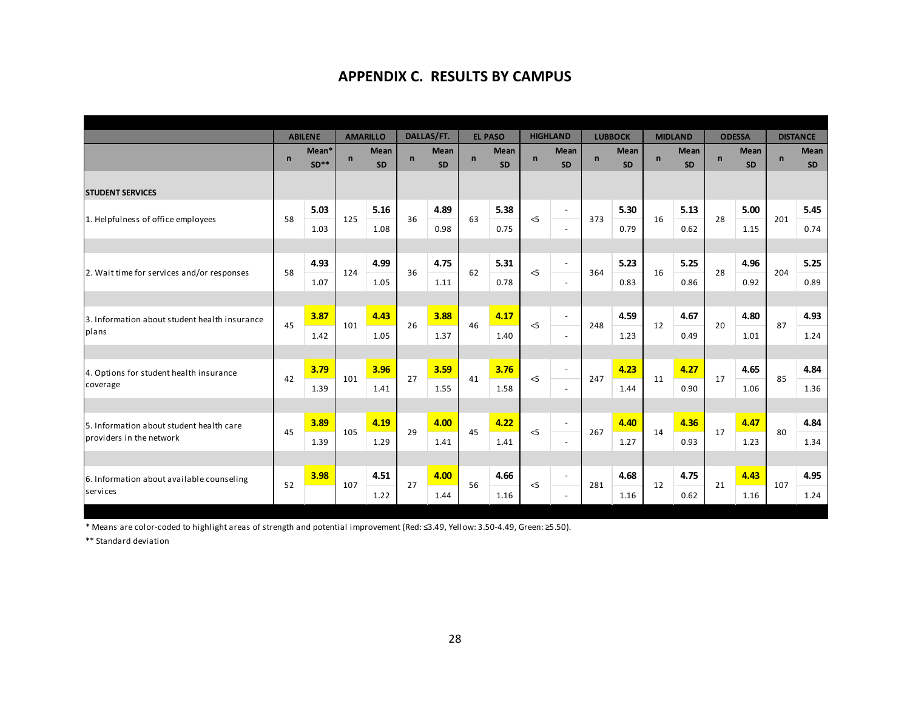## **APPENDIX C. RESULTS BY CAMPUS**

|                                               |             | <b>ABILENE</b>  | <b>AMARILLO</b> |                   |              | DALLAS/FT.        |             | <b>EL PASO</b>           |              | <b>HIGHLAND</b>          |              | <b>LUBBOCK</b>           |             | <b>MIDLAND</b>    |              | <b>ODESSA</b>     |              | <b>DISTANCE</b>   |
|-----------------------------------------------|-------------|-----------------|-----------------|-------------------|--------------|-------------------|-------------|--------------------------|--------------|--------------------------|--------------|--------------------------|-------------|-------------------|--------------|-------------------|--------------|-------------------|
|                                               | $\mathbf n$ | Mean*<br>$SD**$ | $\mathsf{n}$    | Mean<br><b>SD</b> | $\mathsf{n}$ | Mean<br><b>SD</b> | $\mathbf n$ | <b>Mean</b><br><b>SD</b> | $\mathbf{n}$ | Mean<br><b>SD</b>        | $\mathsf{n}$ | <b>Mean</b><br><b>SD</b> | $\mathbf n$ | Mean<br><b>SD</b> | $\mathsf{n}$ | Mean<br><b>SD</b> | $\mathsf{n}$ | Mean<br><b>SD</b> |
| <b>STUDENT SERVICES</b>                       |             |                 |                 |                   |              |                   |             |                          |              |                          |              |                          |             |                   |              |                   |              |                   |
| 1. Helpfulness of office employees            | 58          | 5.03            | 125             | 5.16              | 36           | 4.89              | 63          | 5.38                     | $<$ 5        | $\blacksquare$           | 373          | 5.30                     | 16          | 5.13              | 28           | 5.00              | 201          | 5.45              |
|                                               |             | 1.03            |                 | 1.08              |              | 0.98              |             | 0.75                     |              | $\sim$                   |              | 0.79                     |             | 0.62              |              | 1.15              |              | 0.74              |
|                                               |             |                 |                 |                   |              |                   |             |                          |              |                          |              |                          |             |                   |              |                   |              |                   |
|                                               |             | 4.93            | 124             | 4.99              | 36           | 4.75              | 62          | 5.31                     | 5            | $\sim$                   |              | 5.23                     |             | 5.25              | 28           | 4.96              | 204          | 5.25              |
| 2. Wait time for services and/or responses    | 58          | 1.07            |                 | 1.05              |              | 1.11              |             | 0.78                     |              | $\overline{\phantom{a}}$ | 364          | 0.83                     | 16          | 0.86              |              | 0.92              |              | 0.89              |
|                                               |             |                 |                 |                   |              |                   |             |                          |              |                          |              |                          |             |                   |              |                   |              |                   |
| 3. Information about student health insurance | 45          | 3.87            | 101             | 4.43              | 26           | 3.88              | 46          | 4.17                     | $<$ 5        | $\blacksquare$           | 248          | 4.59                     | 12          | 4.67              | 20           | 4.80              | 87           | 4.93              |
| plans                                         |             | 1.42            |                 | 1.05              |              | 1.37              |             | 1.40                     |              | $\sim$                   |              | 1.23                     |             | 0.49              |              | 1.01              |              | 1.24              |
|                                               |             |                 |                 |                   |              |                   |             |                          |              |                          |              |                          |             |                   |              |                   |              |                   |
| 4. Options for student health insurance       |             | 3.79            |                 | 3.96              |              | 3.59              |             | 3.76                     |              | $\sim$                   |              | 4.23                     |             | 4.27              |              | 4.65              |              | 4.84              |
| coverage                                      | 42          | 1.39            | 101             | 1.41              | 27           | 1.55              | 41          | 1.58                     | $<$ 5        | $\sim$                   | 247          | 1.44                     | 11          | 0.90              | 17           | 1.06              | 85           | 1.36              |
|                                               |             |                 |                 |                   |              |                   |             |                          |              |                          |              |                          |             |                   |              |                   |              |                   |
| 5. Information about student health care      |             | 3.89            |                 | 4.19              |              | 4.00              |             | 4.22                     |              | $\blacksquare$           |              | 4.40                     |             | 4.36              |              | 4.47              |              | 4.84              |
| Iproviders in the network                     | 45          | 1.39            | 105             | 1.29              | 29           | 1.41              | 45          | 1.41                     | $<$ 5        | $\sim$                   | 267          | 1.27                     | 14          | 0.93              | 17           | 1.23              | 80           | 1.34              |
|                                               |             |                 |                 |                   |              |                   |             |                          |              |                          |              |                          |             |                   |              |                   |              |                   |
| 6. Information about available counseling     |             | 3.98            |                 | 4.51              |              | 4.00              |             | 4.66                     |              | $\sim$                   |              | 4.68                     |             | 4.75              |              | 4.43              |              | 4.95              |
| services                                      | 52          |                 | 107             | 1.22              | 27           | 1.44              | 56          | 1.16                     | $<$ 5        | $\overline{\phantom{a}}$ | 281          | 1.16                     | 12          | 0.62              | 21           | 1.16              | 107          | 1.24              |

\* Means are color‐coded to highlight areas of strength and potential improvement (Red: ≤3.49, Yellow: 3.50‐4.49, Green: ≥5.50).

\*\* Standard deviation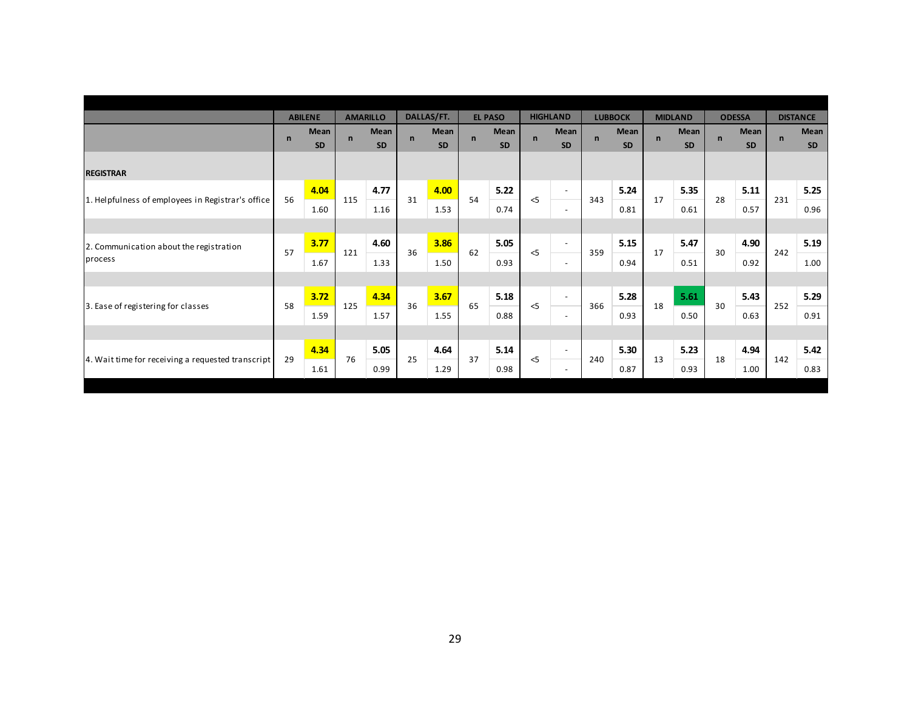| <b>ODESSA</b><br><b>DISTANCE</b>                                       | <b>MIDLAND</b>                    | <b>LUBBOCK</b>                    | <b>HIGHLAND</b>                   | <b>EL PASO</b>                   | DALLAS/FT.                 | <b>AMARILLO</b>            | <b>ABILENE</b>                           |                                                                                         |
|------------------------------------------------------------------------|-----------------------------------|-----------------------------------|-----------------------------------|----------------------------------|----------------------------|----------------------------|------------------------------------------|-----------------------------------------------------------------------------------------|
| Mean<br>Mean<br>$\mathsf{n}$<br>$\mathsf{n}$<br><b>SD</b><br><b>SD</b> | Mean<br>$\mathsf{n}$<br><b>SD</b> | Mean<br>$\mathsf{n}$<br><b>SD</b> | Mean<br>$\mathsf{n}$<br>SD        | Mean<br>$\mathbf n$<br><b>SD</b> | Mean<br>$\mathsf{n}$<br>SD | Mean<br>$\mathsf{n}$<br>SD | <b>Mean</b><br>$\mathsf{n}$<br><b>SD</b> |                                                                                         |
|                                                                        |                                   |                                   |                                   |                                  |                            |                            |                                          | <b>REGISTRAR</b>                                                                        |
| 5.35<br>5.11<br>5.25<br>28<br>231                                      | 17                                | 5.24<br>343                       | $\overline{\phantom{a}}$<br>$<$ 5 | 5.22<br>54                       | 4.00<br>31                 | 4.77<br>115                | 4.04<br>56                               | 1. Helpfulness of employees in Registrar's office                                       |
| 0.61<br>0.57<br>0.96                                                   |                                   | 0.81                              | $\overline{\phantom{a}}$          | 0.74                             | 1.53                       | 1.16                       | 1.60                                     |                                                                                         |
| 4.90<br>5.19                                                           | 5.47                              | 5.15                              | $\sim$                            | 5.05                             | 3.86                       | 4.60                       | 3.77                                     | 2. Communication about the registration                                                 |
| 0.92<br>1.00                                                           | 0.51                              | 0.94                              | $\overline{\phantom{a}}$          | 0.93                             | 1.50                       | 1.33                       | 1.67                                     | process                                                                                 |
|                                                                        |                                   |                                   |                                   |                                  |                            |                            |                                          |                                                                                         |
| 5.43<br>5.29                                                           | 5.61                              | 5.28                              | $\sim$                            | 5.18                             | 3.67                       | 4.34                       | 3.72                                     |                                                                                         |
| 0.50<br>0.63<br>0.91                                                   |                                   | 0.93                              | $\overline{\phantom{a}}$          | 0.88                             | 1.55                       | 1.57                       | 1.59                                     |                                                                                         |
|                                                                        |                                   |                                   |                                   |                                  |                            |                            |                                          |                                                                                         |
| 4.94<br>5.42                                                           | 5.23                              | 5.30                              | $\sim$                            | 5.14                             | 4.64                       | 5.05                       | 4.34                                     |                                                                                         |
| 0.83<br>1.00                                                           | 0.93                              | 0.87                              | $\sim$                            | 0.98                             | 1.29                       | 0.99                       | 1.61                                     |                                                                                         |
| 242<br>30<br>30<br>252<br>18<br>142                                    | 17<br>18<br>13                    | 359<br>366<br>240                 | $<$ 5<br>$\leq$<br>$\leq$ 5       | 62<br>65<br>37                   | 36<br>36<br>25             | 121<br>125<br>76           | 57<br>58<br>29                           | 3. Ease of registering for classes<br>4. Wait time for receiving a requested transcript |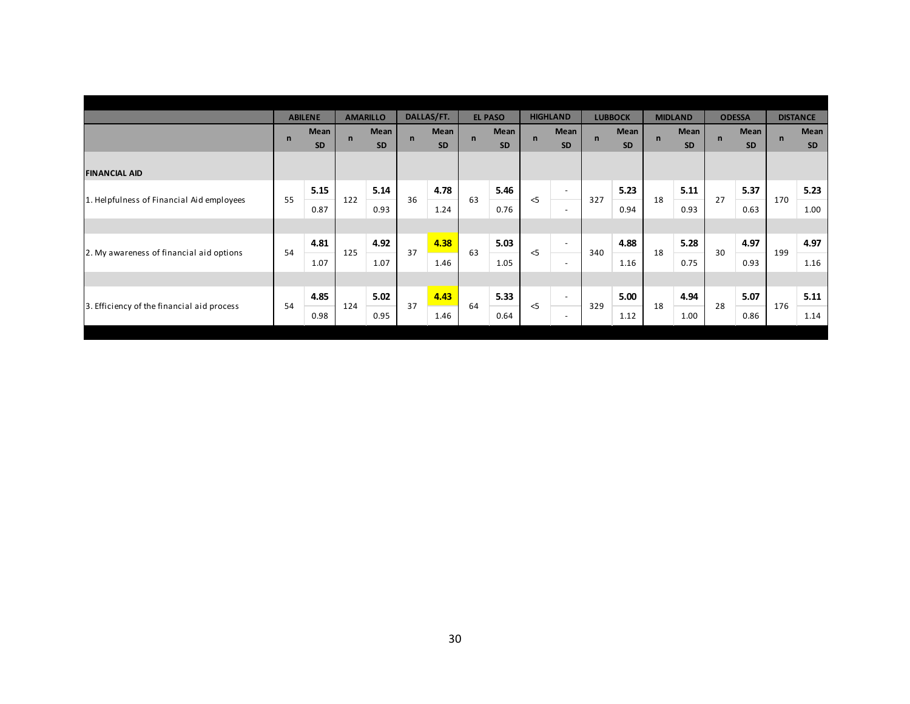|                                            |              | <b>ABILENE</b>    |              | <b>AMARILLO</b>   |              | DALLAS/FT.        |              | <b>EL PASO</b> |             | <b>HIGHLAND</b>          |              | <b>LUBBOCK</b>    |              | <b>MIDLAND</b>    |              | <b>ODESSA</b>     |             | <b>DISTANCE</b>   |
|--------------------------------------------|--------------|-------------------|--------------|-------------------|--------------|-------------------|--------------|----------------|-------------|--------------------------|--------------|-------------------|--------------|-------------------|--------------|-------------------|-------------|-------------------|
|                                            | $\mathsf{n}$ | Mean<br><b>SD</b> | $\mathsf{n}$ | Mean<br><b>SD</b> | $\mathsf{n}$ | Mean<br><b>SD</b> | $\mathsf{n}$ | Mean<br>SD     | $\mathbf n$ | Mean<br><b>SD</b>        | $\mathsf{n}$ | Mean<br><b>SD</b> | $\mathsf{n}$ | Mean<br><b>SD</b> | $\mathsf{n}$ | Mean<br><b>SD</b> | $\mathbf n$ | Mean<br><b>SD</b> |
| <b>FINANCIAL AID</b>                       |              |                   |              |                   |              |                   |              |                |             |                          |              |                   |              |                   |              |                   |             |                   |
|                                            |              | 5.15              |              | 5.14              |              | 4.78              |              | 5.46           |             | $\overline{\phantom{a}}$ |              | 5.23              |              | 5.11              |              | 5.37              |             | 5.23              |
| 1. Helpfulness of Financial Aid employees  | 55           | 0.87              | 122          | 0.93              | 36           | 1.24              | 63           | 0.76           | $\leq$ 5    | $\overline{\phantom{a}}$ | 327          | 0.94              | 18           | 0.93              | 27           | 0.63              | 170         | 1.00              |
|                                            |              |                   |              |                   |              |                   |              |                |             |                          |              |                   |              |                   |              |                   |             |                   |
|                                            | 54           | 4.81              | 125          | 4.92              | 37           | 4.38              | 63           | 5.03           | $\leq$      | $\sim$                   | 340          | 4.88              | 18           | 5.28              | 30           | 4.97              | 199         | 4.97              |
| 2. My awareness of financial aid options   |              | 1.07              |              | 1.07              |              | 1.46              |              | 1.05           |             | $\overline{\phantom{a}}$ |              | 1.16              |              | 0.75              |              | 0.93              |             | 1.16              |
|                                            |              |                   |              |                   |              |                   |              |                |             |                          |              |                   |              |                   |              |                   |             |                   |
|                                            |              | 4.85              |              | 5.02              |              | 4.43              |              | 5.33           |             | $\sim$                   |              | 5.00              |              | 4.94              |              | 5.07              |             | 5.11              |
| 3. Efficiency of the financial aid process | 54           | 0.98              | 124          | 0.95              | 37           | 1.46              | 64           | 0.64           | $<$ 5       | $\overline{\phantom{a}}$ | 329          | 1.12              | 18           | 1.00              | 28           | 0.86              | 176         | 1.14              |
|                                            |              |                   |              |                   |              |                   |              |                |             |                          |              |                   |              |                   |              |                   |             |                   |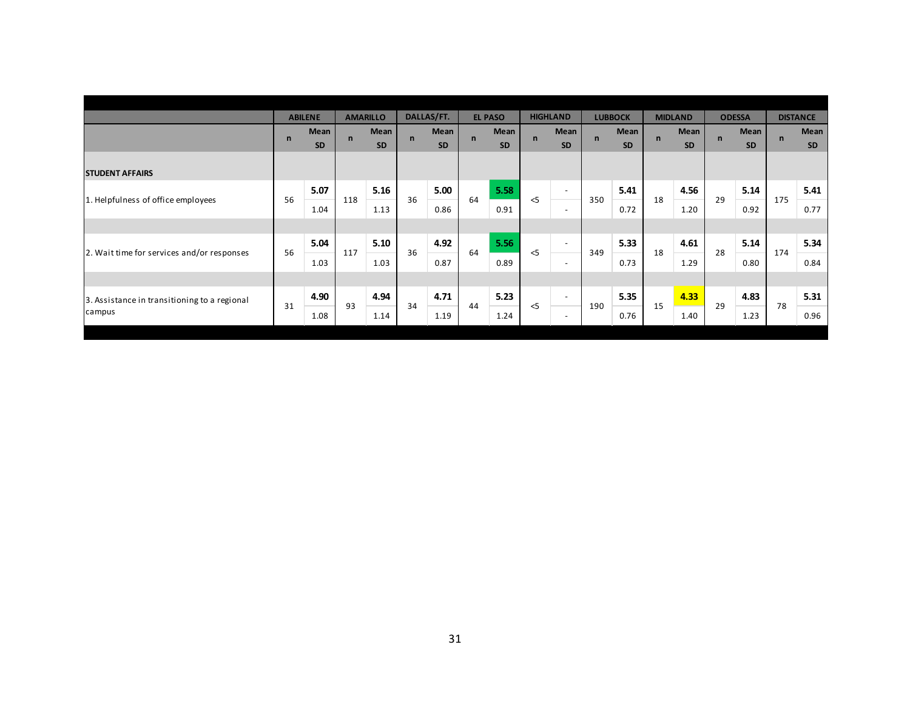|                                              |              | <b>ABILENE</b>    |              | <b>AMARILLO</b>   |              | DALLAS/FT.        |             | <b>EL PASO</b>    |             | <b>HIGHLAND</b>          |             | <b>LUBBOCK</b>    |              | <b>MIDLAND</b> |             | <b>ODESSA</b>     |             | <b>DISTANCE</b>   |
|----------------------------------------------|--------------|-------------------|--------------|-------------------|--------------|-------------------|-------------|-------------------|-------------|--------------------------|-------------|-------------------|--------------|----------------|-------------|-------------------|-------------|-------------------|
|                                              | $\mathsf{n}$ | Mean<br><b>SD</b> | $\mathsf{n}$ | Mean<br><b>SD</b> | $\mathsf{n}$ | Mean<br><b>SD</b> | $\mathbf n$ | Mean<br><b>SD</b> | $\mathbf n$ | Mean<br><b>SD</b>        | $\mathbf n$ | Mean<br><b>SD</b> | $\mathsf{n}$ | Mean<br>SD     | $\mathbf n$ | Mean<br><b>SD</b> | $\mathbf n$ | Mean<br><b>SD</b> |
| <b>STUDENT AFFAIRS</b>                       |              |                   |              |                   |              |                   |             |                   |             |                          |             |                   |              |                |             |                   |             |                   |
|                                              |              | 5.07              |              | 5.16              |              | 5.00              |             | 5.58              |             | $\overline{\phantom{a}}$ |             | 5.41              |              | 4.56           |             | 5.14              |             | 5.41              |
| 1. Helpfulness of office employees           | 56           | 1.04              | 118          | 1.13              | 36           | 0.86              | 64          | 0.91              | $\leq$ 5    | $\overline{\phantom{a}}$ | 350         | 0.72              | 18           | 1.20           | 29          | 0.92              | 175         | 0.77              |
|                                              |              |                   |              |                   |              |                   |             |                   |             |                          |             |                   |              |                |             |                   |             |                   |
| 2. Wait time for services and/or responses   | 56           | 5.04              | 117          | 5.10              | 36           | 4.92              | 64          | 5.56              | < 5         | $\overline{\phantom{a}}$ | 349         | 5.33              | 18           | 4.61           | 28          | 5.14              | 174         | 5.34              |
|                                              |              | 1.03              |              | 1.03              |              | 0.87              |             | 0.89              |             | $\overline{a}$           |             | 0.73              |              | 1.29           |             | 0.80              |             | 0.84              |
|                                              |              |                   |              |                   |              |                   |             |                   |             |                          |             |                   |              |                |             |                   |             |                   |
| 3. Assistance in transitioning to a regional | 31           | 4.90              | 93           | 4.94              | 34           | 4.71              | 44          | 5.23              |             | $\overline{\phantom{a}}$ |             | 5.35              |              | 4.33           | 29          | 4.83              | 78          | 5.31              |
| campus                                       |              | 1.08              |              | 1.14              |              | 1.19              |             | 1.24              | $<$ 5       | $\overline{\phantom{a}}$ | 190         | 0.76              | 15           | 1.40           |             | 1.23              |             | 0.96              |
|                                              |              |                   |              |                   |              |                   |             |                   |             |                          |             |                   |              |                |             |                   |             |                   |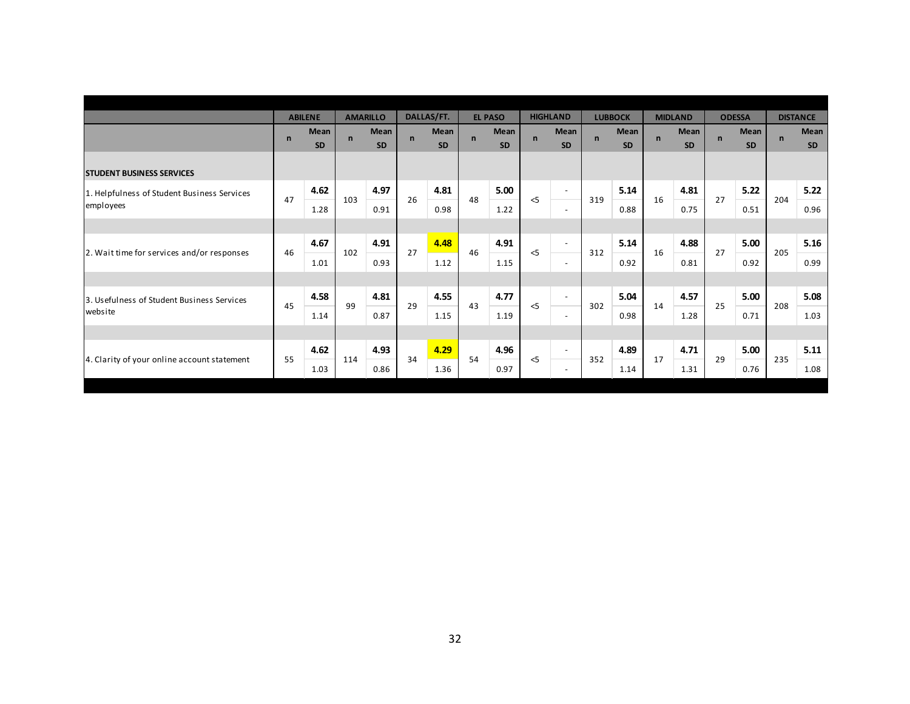|                                             |              | <b>ABILENE</b>    |              | <b>AMARILLO</b>   |              | DALLAS/FT.        |              | <b>EL PASO</b>    |             | <b>HIGHLAND</b>          |              | <b>LUBBOCK</b>    |             | <b>MIDLAND</b>           |              | <b>ODESSA</b>            |              | <b>DISTANCE</b>   |
|---------------------------------------------|--------------|-------------------|--------------|-------------------|--------------|-------------------|--------------|-------------------|-------------|--------------------------|--------------|-------------------|-------------|--------------------------|--------------|--------------------------|--------------|-------------------|
|                                             | $\mathsf{n}$ | Mean<br><b>SD</b> | $\mathsf{n}$ | Mean<br><b>SD</b> | $\mathsf{n}$ | Mean<br><b>SD</b> | $\mathsf{n}$ | Mean<br><b>SD</b> | $\mathbf n$ | Mean<br><b>SD</b>        | $\mathsf{n}$ | Mean<br><b>SD</b> | $\mathbf n$ | <b>Mean</b><br><b>SD</b> | $\mathsf{n}$ | <b>Mean</b><br><b>SD</b> | $\mathsf{n}$ | Mean<br><b>SD</b> |
| <b>STUDENT BUSINESS SERVICES</b>            |              |                   |              |                   |              |                   |              |                   |             |                          |              |                   |             |                          |              |                          |              |                   |
| 1. Helpfulness of Student Business Services |              | 4.62              |              | 4.97              |              | 4.81              |              | 5.00              |             | $\overline{\phantom{a}}$ |              | 5.14              |             | 4.81                     |              | 5.22                     |              | 5.22              |
| employees                                   | 47           | 1.28              | 103          | 0.91              | 26           | 0.98              | 48           | 1.22              | $<$ 5       | $\sim$                   | 319          | 0.88              | 16          | 0.75                     | 27           | 0.51                     | 204          | 0.96              |
|                                             |              |                   |              |                   |              |                   |              |                   |             |                          |              |                   |             |                          |              |                          |              |                   |
|                                             | 46           | 4.67              |              | 4.91              | 27           | 4.48              | 46           | 4.91              | $<$ 5       | $\sim$                   |              | 5.14              | 16          | 4.88                     | 27           | 5.00                     |              | 5.16              |
| 2. Wait time for services and/or responses  |              | 1.01              | 102          | 0.93              |              | 1.12              |              | 1.15              |             | $\sim$                   | 312          | 0.92              |             | 0.81                     |              | 0.92                     | 205          | 0.99              |
|                                             |              |                   |              |                   |              |                   |              |                   |             |                          |              |                   |             |                          |              |                          |              |                   |
| 3. Usefulness of Student Business Services  | 45           | 4.58              | 99           | 4.81              | 29           | 4.55              | 43           | 4.77              | $<$ 5       | $\overline{\phantom{a}}$ | 302          | 5.04              | 14          | 4.57                     | 25           | 5.00                     | 208          | 5.08              |
| website                                     |              | 1.14              |              | 0.87              |              | 1.15              |              | 1.19              |             | $\sim$                   |              | 0.98              |             | 1.28                     |              | 0.71                     |              | 1.03              |
|                                             |              |                   |              |                   |              |                   |              |                   |             |                          |              |                   |             |                          |              |                          |              |                   |
|                                             | 55           | 4.62              | 114          | 4.93              | 34           | 4.29              | 54           | 4.96              | $<$ 5       | $\sim$                   | 352          | 4.89              | 17          | 4.71                     | 29           | 5.00                     | 235          | 5.11              |
| 4. Clarity of your online account statement |              | 1.03              |              | 0.86              |              | 1.36              |              | 0.97              |             | $\sim$                   |              | 1.14              |             | 1.31                     |              | 0.76                     |              | 1.08              |
|                                             |              |                   |              |                   |              |                   |              |                   |             |                          |              |                   |             |                          |              |                          |              |                   |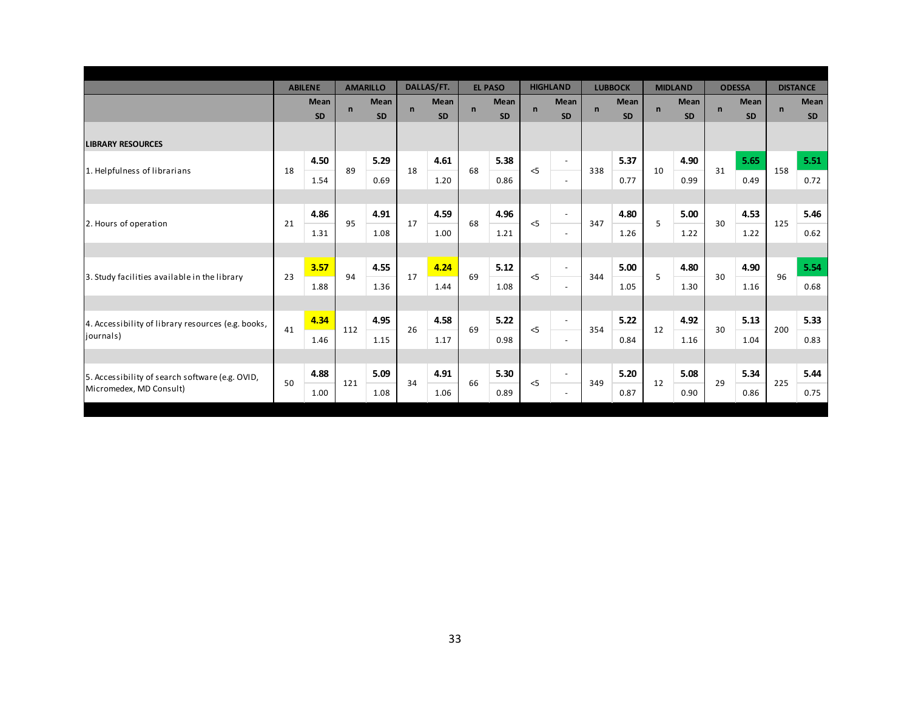|                            |                |                              |                 |                            |              |                            |                |                                           |                 |                                 |                |                          |                |                            |               | <b>DISTANCE</b>                |
|----------------------------|----------------|------------------------------|-----------------|----------------------------|--------------|----------------------------|----------------|-------------------------------------------|-----------------|---------------------------------|----------------|--------------------------|----------------|----------------------------|---------------|--------------------------------|
| Mean<br><b>SD</b>          | $\mathbf n$    | Mean<br><b>SD</b>            | $\mathsf{n}$    | <b>Mean</b><br><b>SD</b>   | $\mathsf{n}$ | <b>Mean</b><br><b>SD</b>   | $\mathsf{n}$   | <b>Mean</b><br><b>SD</b>                  | $\mathsf{n}$    | <b>Mean</b><br><b>SD</b>        | $\mathbf n$    | <b>Mean</b><br><b>SD</b> | $\mathsf{n}$   | <b>Mean</b><br><b>SD</b>   | $\mathsf{n}$  | <b>Mean</b><br><b>SD</b>       |
|                            |                |                              |                 |                            |              |                            |                |                                           |                 |                                 |                |                          |                |                            |               |                                |
| 4.50                       |                | 5.29                         |                 | 4.61                       |              | 5.38                       |                | $\blacksquare$                            |                 | 5.37                            |                | 4.90                     |                | 5.65                       |               | 5.51                           |
| 1.54                       |                | 0.69                         |                 | 1.20                       |              | 0.86                       |                | $\sim$                                    |                 | 0.77                            |                | 0.99                     |                | 0.49                       |               | 0.72                           |
|                            |                |                              |                 |                            |              |                            |                |                                           |                 |                                 |                |                          |                |                            |               |                                |
| 4.86                       |                | 4.91                         |                 | 4.59                       |              | 4.96                       |                | $\omega$                                  |                 | 4.80                            |                | 5.00                     |                | 4.53                       |               | 5.46                           |
| 1.31                       |                | 1.08                         |                 | 1.00                       |              | 1.21                       |                | $\overline{\phantom{a}}$                  |                 | 1.26                            |                | 1.22                     |                | 1.22                       |               | 0.62                           |
|                            |                |                              |                 |                            |              |                            |                |                                           |                 |                                 |                |                          |                |                            |               |                                |
| 3.57                       |                | 4.55                         |                 | 4.24                       |              | 5.12                       |                | $\blacksquare$                            |                 | 5.00                            |                | 4.80                     |                | 4.90                       |               | 5.54                           |
| 1.88                       |                | 1.36                         |                 | 1.44                       |              | 1.08                       |                | $\omega$                                  |                 | 1.05                            |                | 1.30                     |                | 1.16                       |               | 0.68                           |
|                            |                |                              |                 |                            |              |                            |                |                                           |                 |                                 |                |                          |                |                            |               |                                |
| 4.34                       |                | 4.95                         |                 | 4.58                       |              | 5.22                       |                | $\sim$                                    |                 | 5.22                            |                | 4.92                     |                | 5.13                       |               | 5.33                           |
| 1.46                       |                | 1.15                         |                 | 1.17                       |              | 0.98                       |                | $\overline{\phantom{a}}$                  |                 | 0.84                            |                | 1.16                     |                | 1.04                       |               | 0.83                           |
|                            |                |                              |                 |                            |              |                            |                |                                           |                 |                                 |                |                          |                |                            |               |                                |
| 4.88                       |                | 5.09                         |                 | 4.91                       |              | 5.30                       |                | $\overline{\phantom{a}}$                  |                 | 5.20                            |                | 5.08                     |                | 5.34                       |               | 5.44                           |
| 1.00                       |                | 1.08                         |                 | 1.06                       |              | 0.89                       |                | $\overline{\phantom{a}}$                  |                 | 0.87                            |                | 0.90                     |                | 0.86                       |               | 0.75                           |
| 18<br>21<br>23<br>41<br>50 | <b>ABILENE</b> | 89<br>95<br>94<br>112<br>121 | <b>AMARILLO</b> | 18<br>17<br>17<br>26<br>34 | DALLAS/FT.   | 68<br>68<br>69<br>69<br>66 | <b>EL PASO</b> | $<$ 5<br>$<$ 5<br>$<$ 5<br>$<$ 5<br>$<$ 5 | <b>HIGHLAND</b> | 338<br>347<br>344<br>354<br>349 | <b>LUBBOCK</b> | 10<br>5<br>5<br>12<br>12 | <b>MIDLAND</b> | 31<br>30<br>30<br>30<br>29 | <b>ODESSA</b> | 158<br>125<br>96<br>200<br>225 |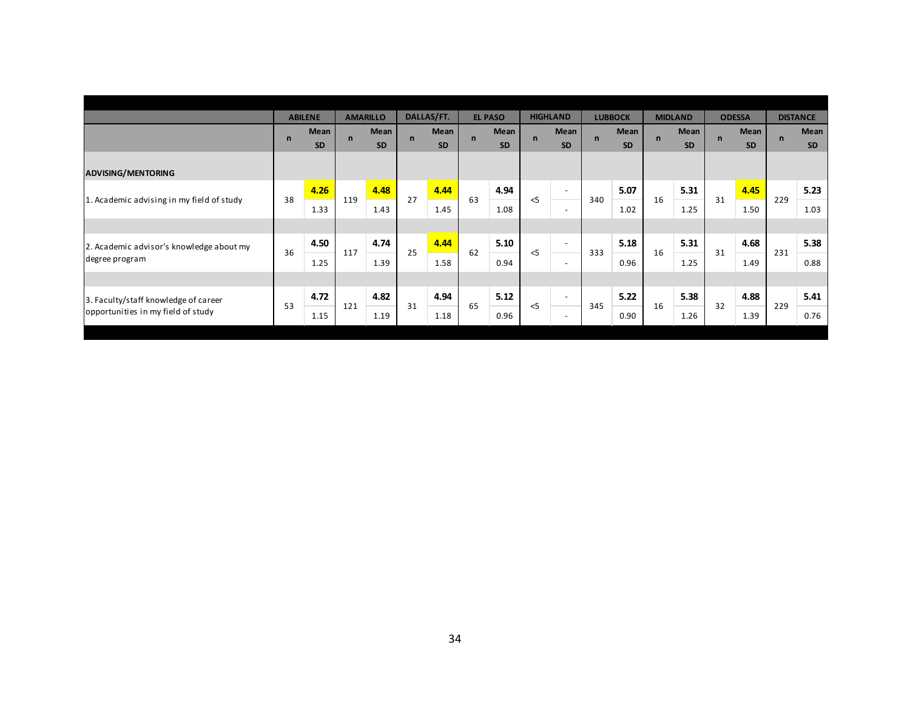|                                           |              | <b>ABILENE</b>    |              | <b>AMARILLO</b>   |             | DALLAS/FT.        |             | <b>EL PASO</b>    |             | <b>HIGHLAND</b>          |              | <b>LUBBOCK</b>    |              | <b>MIDLAND</b> |              | <b>ODESSA</b>     |             | <b>DISTANCE</b>   |
|-------------------------------------------|--------------|-------------------|--------------|-------------------|-------------|-------------------|-------------|-------------------|-------------|--------------------------|--------------|-------------------|--------------|----------------|--------------|-------------------|-------------|-------------------|
|                                           | $\mathsf{n}$ | Mean<br><b>SD</b> | $\mathsf{n}$ | Mean<br><b>SD</b> | $\mathbf n$ | Mean<br><b>SD</b> | $\mathbf n$ | Mean<br><b>SD</b> | $\mathbf n$ | Mean<br><b>SD</b>        | $\mathsf{n}$ | Mean<br><b>SD</b> | $\mathsf{n}$ | Mean<br>SD     | $\mathsf{n}$ | Mean<br><b>SD</b> | $\mathbf n$ | Mean<br><b>SD</b> |
| <b>ADVISING/MENTORING</b>                 |              |                   |              |                   |             |                   |             |                   |             |                          |              |                   |              |                |              |                   |             |                   |
|                                           |              | 4.26              |              | 4.48              |             | 4.44              |             | 4.94              |             | $\overline{\phantom{a}}$ |              | 5.07              |              | 5.31           |              | 4.45              |             | 5.23              |
| 1. Academic advising in my field of study | 38           | 1.33              | 119          | 1.43              | 27          | 1.45              | 63          | 1.08              | $\leq$      | $\overline{\phantom{a}}$ | 340          | 1.02              | 16           | 1.25           | 31           | 1.50              | 229         | 1.03              |
|                                           |              |                   |              |                   |             |                   |             |                   |             |                          |              |                   |              |                |              |                   |             |                   |
| 2. Academic advisor's knowledge about my  | 36           | 4.50              | 117          | 4.74              | 25          | 4.44              | 62          | 5.10              | $\leq$      | $\overline{\phantom{a}}$ | 333          | 5.18              | 16           | 5.31           | 31           | 4.68              | 231         | 5.38              |
| degree program                            |              | 1.25              |              | 1.39              |             | 1.58              |             | 0.94              |             | $\overline{\phantom{a}}$ |              | 0.96              |              | 1.25           |              | 1.49              |             | 0.88              |
|                                           |              |                   |              |                   |             |                   |             |                   |             |                          |              |                   |              |                |              |                   |             |                   |
| 3. Faculty/staff knowledge of career      |              | 4.72              |              | 4.82              |             | 4.94              |             | 5.12              |             | $\overline{\phantom{a}}$ |              | 5.22              |              | 5.38           |              | 4.88              |             | 5.41              |
| opportunities in my field of study        | 53           | 1.15              | 121          | 1.19              | 31          | 1.18              | 65          | 0.96              | $<$ 5       | $\overline{\phantom{a}}$ | 345          | 0.90              | 16           | 1.26           | 32           | 1.39              | 229         | 0.76              |
|                                           |              |                   |              |                   |             |                   |             |                   |             |                          |              |                   |              |                |              |                   |             |                   |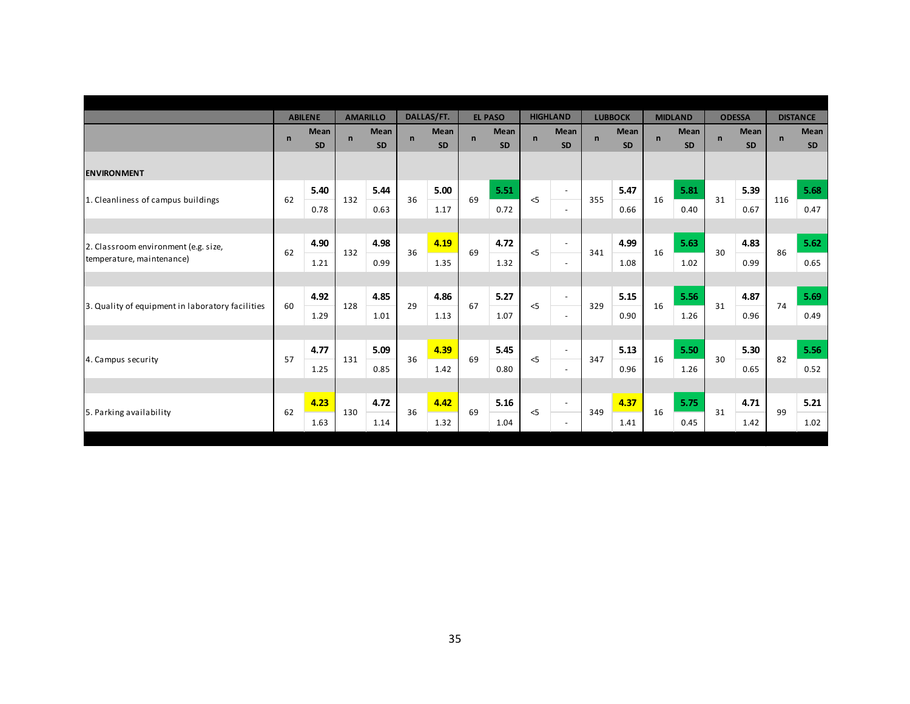|                                                  |             | <b>ABILENE</b>           |              | <b>AMARILLO</b>          |              | DALLAS/FT.        |             | <b>EL PASO</b>    |              | <b>HIGHLAND</b>          |              | <b>LUBBOCK</b>           |             | <b>MIDLAND</b>           |              | <b>ODESSA</b>            |              | <b>DISTANCE</b>   |
|--------------------------------------------------|-------------|--------------------------|--------------|--------------------------|--------------|-------------------|-------------|-------------------|--------------|--------------------------|--------------|--------------------------|-------------|--------------------------|--------------|--------------------------|--------------|-------------------|
|                                                  | $\mathbf n$ | <b>Mean</b><br><b>SD</b> | $\mathsf{n}$ | <b>Mean</b><br><b>SD</b> | $\mathsf{n}$ | Mean<br><b>SD</b> | $\mathbf n$ | Mean<br><b>SD</b> | $\mathsf{n}$ | Mean<br><b>SD</b>        | $\mathsf{n}$ | <b>Mean</b><br><b>SD</b> | $\mathbf n$ | <b>Mean</b><br><b>SD</b> | $\mathsf{n}$ | <b>Mean</b><br><b>SD</b> | $\mathsf{n}$ | Mean<br><b>SD</b> |
| <b>ENVIRONMENT</b>                               |             |                          |              |                          |              |                   |             |                   |              |                          |              |                          |             |                          |              |                          |              |                   |
|                                                  |             | 5.40                     |              | 5.44                     |              | 5.00              |             | 5.51              |              | $\blacksquare$           |              | 5.47                     |             | 5.81                     |              | 5.39                     |              | 5.68              |
| 1. Cleanliness of campus buildings               | 62          | 0.78                     | 132          | 0.63                     | 36           | 1.17              | 69          | 0.72              | $<$ 5        | $\sim$                   | 355          | 0.66                     | 16          | 0.40                     | 31           | 0.67                     | 116          | 0.47              |
|                                                  |             |                          |              |                          |              |                   |             |                   |              |                          |              |                          |             |                          |              |                          |              |                   |
| 2. Classroom environment (e.g. size,             | 62          | 4.90                     | 132          | 4.98                     | 36           | 4.19              | 69          | 4.72              | $<$ 5        | $\overline{\phantom{a}}$ | 341          | 4.99                     | 16          | 5.63                     | 30           | 4.83                     | 86           | 5.62              |
| temperature, maintenance)                        |             | 1.21                     |              | 0.99                     |              | 1.35              |             | 1.32              |              | $\overline{\phantom{a}}$ |              | 1.08                     |             | 1.02                     |              | 0.99                     |              | 0.65              |
|                                                  |             |                          |              |                          |              |                   |             |                   |              |                          |              |                          |             |                          |              |                          |              |                   |
|                                                  | 60          | 4.92                     | 128          | 4.85                     | 29           | 4.86              | 67          | 5.27              | $<$ 5        | $\blacksquare$           | 329          | 5.15                     | 16          | 5.56                     | 31           | 4.87                     | 74           | 5.69              |
| 3. Quality of equipment in laboratory facilities |             | 1.29                     |              | 1.01                     |              | 1.13              |             | 1.07              |              | $\sim$                   |              | 0.90                     |             | 1.26                     |              | 0.96                     |              | 0.49              |
|                                                  |             |                          |              |                          |              |                   |             |                   |              |                          |              |                          |             |                          |              |                          |              |                   |
|                                                  |             | 4.77                     |              | 5.09                     |              | 4.39              |             | 5.45              |              | $\blacksquare$           |              | 5.13                     |             | 5.50                     |              | 5.30                     |              | 5.56              |
| 4. Campus security                               | 57          | 1.25                     | 131          | 0.85                     | 36           | 1.42              | 69          | 0.80              | $<$ 5        | $\overline{\phantom{a}}$ | 347          | 0.96                     | 16          | 1.26                     | 30           | 0.65                     | 82           | 0.52              |
|                                                  |             |                          |              |                          |              |                   |             |                   |              |                          |              |                          |             |                          |              |                          |              |                   |
| 5. Parking availability                          | 62          | 4.23                     | 130          | 4.72                     | 36           | 4.42              | 69          | 5.16              | $<$ 5        | $\sim$                   | 349          | 4.37                     | 16          | 5.75                     | 31           | 4.71                     | 99           | 5.21              |
|                                                  |             | 1.63                     |              | 1.14                     |              | 1.32              |             | 1.04              |              | $\sim$                   |              | 1.41                     |             | 0.45                     |              | 1.42                     |              | 1.02              |
|                                                  |             |                          |              |                          |              |                   |             |                   |              |                          |              |                          |             |                          |              |                          |              |                   |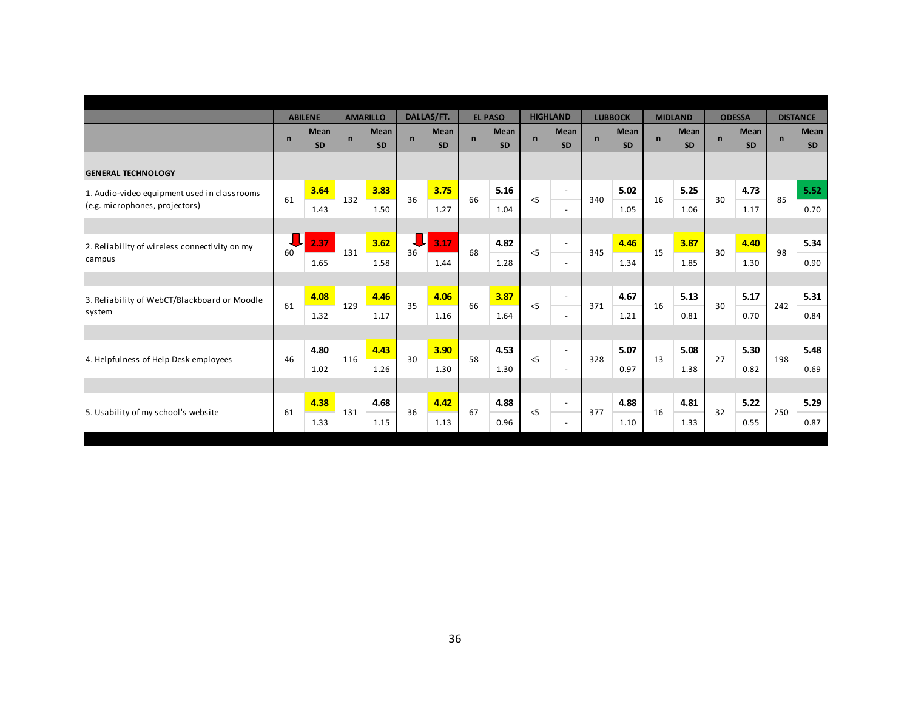|                                               |              | <b>ABILENE</b>           |              | <b>AMARILLO</b>   |              | DALLAS/FT.               |              | <b>EL PASO</b>           |              | <b>HIGHLAND</b>          |              | <b>LUBBOCK</b>    |             | <b>MIDLAND</b>           |              | <b>ODESSA</b>            |              | <b>DISTANCE</b>          |
|-----------------------------------------------|--------------|--------------------------|--------------|-------------------|--------------|--------------------------|--------------|--------------------------|--------------|--------------------------|--------------|-------------------|-------------|--------------------------|--------------|--------------------------|--------------|--------------------------|
|                                               | $\mathsf{n}$ | <b>Mean</b><br><b>SD</b> | $\mathsf{n}$ | Mean<br><b>SD</b> | $\mathsf{n}$ | <b>Mean</b><br><b>SD</b> | $\mathsf{n}$ | <b>Mean</b><br><b>SD</b> | $\mathsf{n}$ | <b>Mean</b><br><b>SD</b> | $\mathsf{n}$ | Mean<br><b>SD</b> | $\mathbf n$ | <b>Mean</b><br><b>SD</b> | $\mathsf{n}$ | <b>Mean</b><br><b>SD</b> | $\mathsf{n}$ | <b>Mean</b><br><b>SD</b> |
| <b>GENERAL TECHNOLOGY</b>                     |              |                          |              |                   |              |                          |              |                          |              |                          |              |                   |             |                          |              |                          |              |                          |
| 1. Audio-video equipment used in classrooms   | 61           | 3.64                     | 132          | 3.83              | 36           | 3.75                     | 66           | 5.16                     | $<$ 5        | $\sim$                   | 340          | 5.02              | 16          | 5.25                     | 30           | 4.73                     | 85           | 5.52                     |
| (e.g. microphones, projectors)                |              | 1.43                     |              | 1.50              |              | 1.27                     |              | 1.04                     |              | $\sim$                   |              | 1.05              |             | 1.06                     |              | 1.17                     |              | 0.70                     |
|                                               |              |                          |              |                   |              |                          |              |                          |              |                          |              |                   |             |                          |              |                          |              |                          |
| 2. Reliability of wireless connectivity on my | 60           | 2.37                     | 131          | 3.62              | 36           | 3.17                     | 68           | 4.82                     | $\leq$       | $\overline{\phantom{a}}$ | 345          | 4.46              | 15          | 3.87                     | 30           | 4.40                     | 98           | 5.34                     |
| campus                                        |              | 1.65                     |              | 1.58              |              | 1.44                     |              | 1.28                     |              | $\overline{\phantom{a}}$ |              | 1.34              |             | 1.85                     |              | 1.30                     |              | 0.90                     |
|                                               |              |                          |              |                   |              |                          |              |                          |              |                          |              |                   |             |                          |              |                          |              |                          |
| 3. Reliability of WebCT/Blackboard or Moodle  | 61           | 4.08                     | 129          | 4.46              | 35           | 4.06                     | 66           | 3.87                     | $<$ 5        | $\sim$                   | 371          | 4.67              | 16          | 5.13                     | 30           | 5.17                     | 242          | 5.31                     |
| system                                        |              | 1.32                     |              | 1.17              |              | 1.16                     |              | 1.64                     |              | $\sim$                   |              | 1.21              |             | 0.81                     |              | 0.70                     |              | 0.84                     |
|                                               |              |                          |              |                   |              |                          |              |                          |              |                          |              |                   |             |                          |              |                          |              |                          |
| 4. Helpfulness of Help Desk employees         | 46           | 4.80                     | 116          | 4.43              | 30           | 3.90                     | 58           | 4.53                     | $<$ 5        | $\sim$                   | 328          | 5.07              | 13          | 5.08                     | 27           | 5.30                     | 198          | 5.48                     |
|                                               |              | 1.02                     |              | 1.26              |              | 1.30                     |              | 1.30                     |              | $\sim$                   |              | 0.97              |             | 1.38                     |              | 0.82                     |              | 0.69                     |
|                                               |              |                          |              |                   |              |                          |              |                          |              |                          |              |                   |             |                          |              |                          |              |                          |
| 5. Usability of my school's website           | 61           | 4.38                     | 131          | 4.68              | 36           | 4.42                     | 67           | 4.88                     | $<$ 5        | $\sim$                   | 377          | 4.88              | 16          | 4.81                     | 32           | 5.22                     | 250          | 5.29                     |
|                                               |              | 1.33                     |              | 1.15              |              | 1.13                     |              | 0.96                     |              | $\overline{\phantom{a}}$ |              | 1.10              |             | 1.33                     |              | 0.55                     |              | 0.87                     |
|                                               |              |                          |              |                   |              |                          |              |                          |              |                          |              |                   |             |                          |              |                          |              |                          |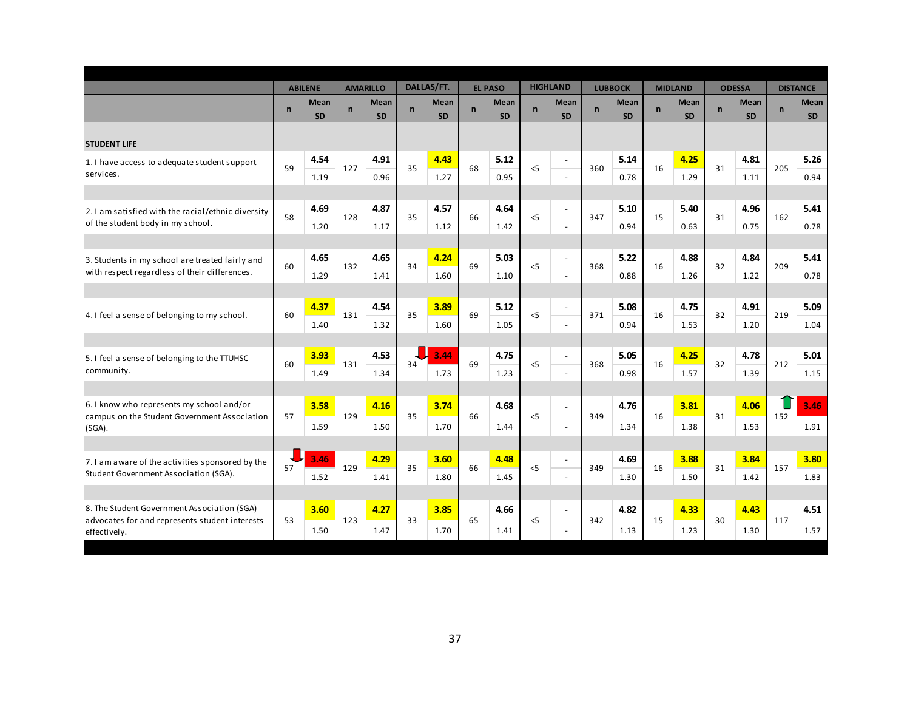|                                                                |              | <b>ABILENE</b> |              | <b>AMARILLO</b> |              | <b>DALLAS/FT.</b> |              | <b>EL PASO</b> |              | <b>HIGHLAND</b>          |              | <b>LUBBOCK</b> |              | <b>MIDLAND</b> |              | <b>ODESSA</b> |                | <b>DISTANCE</b> |
|----------------------------------------------------------------|--------------|----------------|--------------|-----------------|--------------|-------------------|--------------|----------------|--------------|--------------------------|--------------|----------------|--------------|----------------|--------------|---------------|----------------|-----------------|
|                                                                | $\mathsf{n}$ | <b>Mean</b>    | $\mathsf{n}$ | Mean            | $\mathsf{n}$ | <b>Mean</b>       | $\mathsf{n}$ | Mean           | $\mathsf{n}$ | Mean                     | $\mathsf{n}$ | <b>Mean</b>    | $\mathsf{n}$ | <b>Mean</b>    | $\mathsf{n}$ | Mean          | $\overline{n}$ | <b>Mean</b>     |
|                                                                |              | <b>SD</b>      |              | <b>SD</b>       |              | <b>SD</b>         |              | <b>SD</b>      |              | <b>SD</b>                |              | <b>SD</b>      |              | <b>SD</b>      |              | <b>SD</b>     |                | <b>SD</b>       |
| <b>STUDENT LIFE</b>                                            |              |                |              |                 |              |                   |              |                |              |                          |              |                |              |                |              |               |                |                 |
| 1. I have access to adequate student support                   |              | 4.54           |              | 4.91            |              | 4.43              |              | 5.12           |              | $\blacksquare$           |              | 5.14           |              | 4.25           |              | 4.81          |                | 5.26            |
| services.                                                      | 59           | 1.19           | 127          | 0.96            | 35           | 1.27              | 68           | 0.95           | $<$ 5        |                          | 360          | 0.78           | 16           | 1.29           | 31           | 1.11          | 205            | 0.94            |
|                                                                |              |                |              |                 |              |                   |              |                |              |                          |              |                |              |                |              |               |                |                 |
| 2. I am satisfied with the racial/ethnic diversity             |              | 4.69           |              | 4.87            |              | 4.57              |              | 4.64           |              | $\sim$                   |              | 5.10           |              | 5.40           |              | 4.96          |                | 5.41            |
| of the student body in my school.                              | 58           | 1.20           | 128          | 1.17            | 35           | 1.12              | 66           | 1.42           | $<$ 5        | $\bar{\phantom{a}}$      | 347          | 0.94           | 15           | 0.63           | 31           | 0.75          | 162            | 0.78            |
|                                                                |              |                |              |                 |              |                   |              |                |              |                          |              |                |              |                |              |               |                |                 |
| 3. Students in my school are treated fairly and                | 60           | 4.65           | 132          | 4.65            | 34           | 4.24              | 69           | 5.03           | $<$ 5        | $\blacksquare$           | 368          | 5.22           | 16           | 4.88           | 32           | 4.84          | 209            | 5.41            |
| with respect regardless of their differences.                  |              | 1.29           |              | 1.41            |              | 1.60              |              | 1.10           |              | $\omega$                 |              | 0.88           |              | 1.26           |              | 1.22          |                | 0.78            |
|                                                                |              |                |              |                 |              |                   |              |                |              |                          |              |                |              |                |              |               |                |                 |
| 4. I feel a sense of belonging to my school.                   | 60           | 4.37           | 131          | 4.54            | 35           | 3.89              | 69           | 5.12           | $\leq$       | $\overline{\phantom{a}}$ | 371          | 5.08           | 16           | 4.75           | 32           | 4.91          | 219            | 5.09            |
|                                                                |              | 1.40           |              | 1.32            |              | 1.60              |              | 1.05           |              | $\blacksquare$           |              | 0.94           |              | 1.53           |              | 1.20          |                | 1.04            |
|                                                                |              |                |              |                 |              |                   |              |                |              |                          |              |                |              |                |              |               |                |                 |
| 5. I feel a sense of belonging to the TTUHSC                   | 60           | 3.93           | 131          | 4.53            | 34           | 3.44              | 69           | 4.75           | $\leq$       | $\blacksquare$           | 368          | 5.05           | 16           | 4.25           | 32           | 4.78          | 212            | 5.01            |
| community.                                                     |              | 1.49           |              | 1.34            |              | 1.73              |              | 1.23           |              | $\blacksquare$           |              | 0.98           |              | 1.57           |              | 1.39          |                | 1.15            |
|                                                                |              |                |              |                 |              |                   |              |                |              |                          |              |                |              |                |              |               |                |                 |
| 6.1 know who represents my school and/or                       | 57           | 3.58           | 129          | 4.16            | 35           | 3.74              | 66           | 4.68           | $\leq$       | $\blacksquare$           | 349          | 4.76           | 16           | 3.81           | 31           | 4.06          | 152            | 3.46            |
| campus on the Student Government Association<br>(SGA).         |              | 1.59           |              | 1.50            |              | 1.70              |              | 1.44           |              | $\sim$                   |              | 1.34           |              | 1.38           |              | 1.53          |                | 1.91            |
|                                                                |              |                |              |                 |              |                   |              |                |              |                          |              |                |              |                |              |               |                |                 |
| 7. I am aware of the activities sponsored by the               |              | 3.46           |              | 4.29            |              | 3.60              |              | 4.48           |              | $\blacksquare$           |              | 4.69           |              | 3.88           |              | 3.84          |                | 3.80            |
| Student Government Association (SGA).                          | 57           | 1.52           | 129          | 1.41            | 35           | 1.80              | 66           | 1.45           | $<$ 5        | $\sim$                   | 349          | 1.30           | 16           | 1.50           | 31           | 1.42          | 157            | 1.83            |
|                                                                |              |                |              |                 |              |                   |              |                |              |                          |              |                |              |                |              |               |                |                 |
| 8. The Student Government Association (SGA)                    |              | 3.60           |              | 4.27            |              | 3.85              |              | 4.66           |              | $\blacksquare$           |              | 4.82           |              | 4.33           |              | 4.43          |                | 4.51            |
| advocates for and represents student interests<br>effectively. | 53           | 1.50           | 123          | 1.47            | 33           | 1.70              | 65           | 1.41           | $<$ 5        | $\sim$                   | 342          | 1.13           | 15           | 1.23           | 30           | 1.30          | 117            | 1.57            |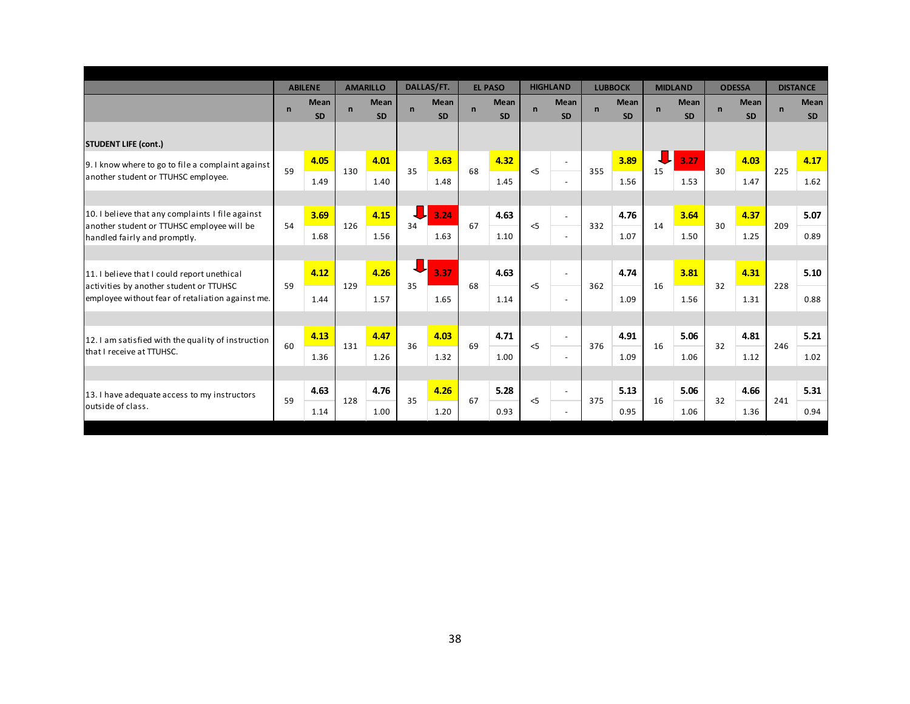|                                                                                                                                            | <b>ABILENE</b> |                          | <b>AMARILLO</b> |                   | DALLAS/FT.   |                          | <b>EL PASO</b> |                   | <b>HIGHLAND</b> |                          | <b>LUBBOCK</b>      |                          | <b>MIDLAND</b> |                          | <b>ODESSA</b> |                          | <b>DISTANCE</b> |                   |
|--------------------------------------------------------------------------------------------------------------------------------------------|----------------|--------------------------|-----------------|-------------------|--------------|--------------------------|----------------|-------------------|-----------------|--------------------------|---------------------|--------------------------|----------------|--------------------------|---------------|--------------------------|-----------------|-------------------|
|                                                                                                                                            | $\mathbf n$    | <b>Mean</b><br><b>SD</b> | $\mathbf n$     | Mean<br><b>SD</b> | $\mathsf{n}$ | <b>Mean</b><br><b>SD</b> | $\mathbf n$    | Mean<br><b>SD</b> | $\mathbf n$     | <b>Mean</b><br>SD        | $\mathbf n$         | <b>Mean</b><br><b>SD</b> | $\mathbf n$    | <b>Mean</b><br><b>SD</b> | $\mathbf n$   | <b>Mean</b><br><b>SD</b> | $\mathsf{n}$    | Mean<br><b>SD</b> |
| <b>STUDENT LIFE (cont.)</b>                                                                                                                |                |                          |                 |                   |              |                          |                |                   |                 |                          |                     |                          |                |                          |               |                          |                 |                   |
| 9. I know where to go to file a complaint against<br>another student or TTUHSC employee.                                                   | 59             | 4.05                     | 130             | 4.01              | 35           | 3.63                     | 68             | 4.32              | $<$ 5           | $\blacksquare$           | 3.89<br>355<br>1.56 | 15                       | 3.27           | 30                       | 4.03          | 225                      | 4.17            |                   |
|                                                                                                                                            |                | 1.49                     |                 | 1.40              |              | 1.48                     |                | 1.45              |                 | $\omega$                 |                     |                          |                | 1.53                     |               | 1.47                     |                 | 1.62              |
|                                                                                                                                            |                |                          |                 |                   |              |                          |                |                   |                 |                          |                     |                          |                |                          |               |                          |                 |                   |
| 10. I believe that any complaints I file against<br>another student or TTUHSC employee will be<br>handled fairly and promptly.             | 54             | 3.69                     | 126             | 4.15              | 34           | 3.24                     | 67             | 4.63              | $\leq$          | $\omega$                 | 332                 | 4.76                     | 14             | 3.64                     | 30            | 4.37                     | 209             | 5.07              |
|                                                                                                                                            |                | 1.68                     |                 | 1.56              |              | 1.63                     |                | 1.10              |                 | $\overline{\phantom{a}}$ |                     | 1.07                     |                | 1.50                     |               | 1.25                     |                 | 0.89              |
|                                                                                                                                            |                |                          |                 |                   |              |                          |                |                   |                 |                          |                     |                          |                |                          |               |                          |                 |                   |
| 11. I believe that I could report unethical<br>activities by another student or TTUHSC<br>employee without fear of retaliation against me. |                | 4.12                     |                 | 4.26              | 35           | 3.37                     | 68             | 4.63              |                 | $\sim$                   |                     | 4.74                     |                | 3.81                     | 32            | 4.31                     | 228             | 5.10              |
|                                                                                                                                            | 59             | 1.44                     | 129             | 1.57              |              | 1.65                     |                | 1.14              | $<$ 5           | $\sim$                   | 362                 | 1.09                     | 16             | 1.56                     |               | 1.31                     |                 | 0.88              |
|                                                                                                                                            |                |                          |                 |                   |              |                          |                |                   |                 |                          |                     |                          |                |                          |               |                          |                 |                   |
| 12. I am satisfied with the quality of instruction<br>that I receive at TTUHSC.                                                            |                | 4.13                     |                 | 4.47              | 36           | 4.03                     | 69             | 4.71              | $<$ 5           | $\omega$                 | 376                 | 4.91                     | 16             | 5.06                     | 32            | 4.81                     | 246             | 5.21              |
|                                                                                                                                            | 60             | 1.36                     | 131             | 1.26              |              | 1.32                     |                | 1.00              |                 | $\omega$                 |                     | 1.09                     |                | 1.06                     |               | 1.12                     |                 | 1.02              |
|                                                                                                                                            |                |                          |                 |                   |              |                          |                |                   |                 |                          |                     |                          |                |                          |               |                          |                 |                   |
| 13. I have adequate access to my instructors<br>outside of class.                                                                          | 59             | 4.63                     | 128             | 4.76              | 35           | 4.26                     | 67             | 5.28              | $<$ 5           | $\omega$                 | 375                 | 5.13                     | 16             | 5.06                     | 32            | 4.66                     | 241             | 5.31              |
|                                                                                                                                            |                | 1.14                     |                 | 1.00              |              | 1.20                     |                | 0.93              |                 | $\sim$                   |                     | 0.95                     |                | 1.06                     |               | 1.36                     |                 | 0.94              |